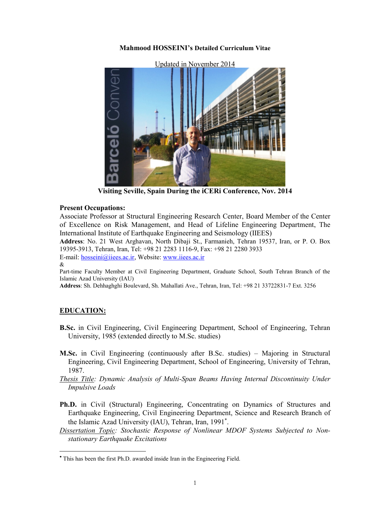### **Mahmood HOSSEINI's Detailed Curriculum Vitae**



**Visiting Seville, Spain During the iCERi Conference, Nov. 2014**

### **Present Occupations:**

Associate Professor at Structural Engineering Research Center, Board Member of the Center of Excellence on Risk Management, and Head of Lifeline Engineering Department, The International Institute of Earthquake Engineering and Seismology (IIEES)

**Address**: No. 21 West Arghavan, North Dibaji St., Farmanieh, Tehran 19537, Iran, or P. O. Box 19395-3913, Tehran, Iran, Tel: +98 21 2283 1116-9, Fax: +98 21 2280 3933

E-mail: hosseini@iiees.ac.ir, Website: www.iiees.ac.ir &

Part-time Faculty Member at Civil Engineering Department, Graduate School, South Tehran Branch of the Islamic Azad University (IAU)

**Address**: Sh. Dehhaghghi Boulevard, Sh. Mahallati Ave., Tehran, Iran, Tel: +98 21 33722831-7 Ext. 3256

### **EDUCATION:**

- **B.Sc.** in Civil Engineering, Civil Engineering Department, School of Engineering, Tehran University, 1985 (extended directly to M.Sc. studies)
- **M.Sc.** in Civil Engineering (continuously after B.Sc. studies) Majoring in Structural Engineering, Civil Engineering Department, School of Engineering, University of Tehran, 1987.
- *Thesis Title: Dynamic Analysis of Multi-Span Beams Having Internal Discontinuity Under Impulsive Loads*
- **Ph.D.** in Civil (Structural) Engineering, Concentrating on Dynamics of Structures and Earthquake Engineering, Civil Engineering Department, Science and Research Branch of the Islamic Azad University (IAU), Tehran, Iran, 1991 .
- *Dissertation Topic: Stochastic Response of Nonlinear MDOF Systems Subjected to Nonstationary Earthquake Excitations*

This has been the first Ph.D. awarded inside Iran in the Engineering Field.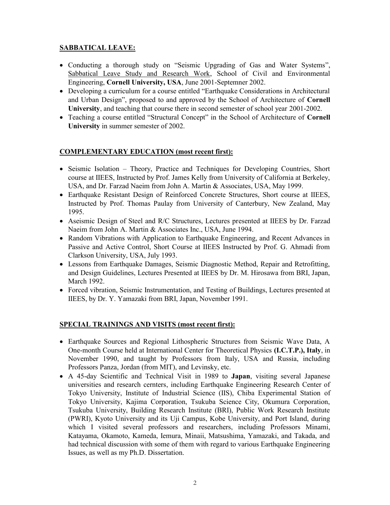## **SABBATICAL LEAVE:**

- Conducting a thorough study on "Seismic Upgrading of Gas and Water Systems", Sabbatical Leave Study and Research Work, School of Civil and Environmental Engineering, **Cornell University, USA**, June 2001-Septemner 2002.
- Developing a curriculum for a course entitled "Earthquake Considerations in Architectural and Urban Design", proposed to and approved by the School of Architecture of **Cornell University**, and teaching that course there in second semester of school year 2001-2002.
- Teaching a course entitled "Structural Concept" in the School of Architecture of **Cornell University** in summer semester of 2002.

## **COMPLEMENTARY EDUCATION (most recent first):**

- Seismic Isolation Theory, Practice and Techniques for Developing Countries, Short course at IIEES, Instructed by Prof. James Kelly from University of California at Berkeley, USA, and Dr. Farzad Naeim from John A. Martin & Associates, USA, May 1999.
- Earthquake Resistant Design of Reinforced Concrete Structures, Short course at IIEES, Instructed by Prof. Thomas Paulay from University of Canterbury, New Zealand, May 1995.
- Aseismic Design of Steel and R/C Structures, Lectures presented at IIEES by Dr. Farzad Naeim from John A. Martin & Associates Inc., USA, June 1994.
- Random Vibrations with Application to Earthquake Engineering, and Recent Advances in Passive and Active Control, Short Course at IIEES Instructed by Prof. G. Ahmadi from Clarkson University, USA, July 1993.
- Lessons from Earthquake Damages, Seismic Diagnostic Method, Repair and Retrofitting, and Design Guidelines, Lectures Presented at IIEES by Dr. M. Hirosawa from BRI, Japan, March 1992.
- Forced vibration, Seismic Instrumentation, and Testing of Buildings, Lectures presented at IIEES, by Dr. Y. Yamazaki from BRI, Japan, November 1991.

# **SPECIAL TRAININGS AND VISITS (most recent first):**

- Earthquake Sources and Regional Lithospheric Structures from Seismic Wave Data, A One-month Course held at International Center for Theoretical Physics **(I.C.T.P.), Italy**, in November 1990, and taught by Professors from Italy, USA and Russia, including Professors Panza, Jordan (from MIT), and Levinsky, etc.
- A 45-day Scientific and Technical Visit in 1989 to **Japan**, visiting several Japanese universities and research cernters, including Earthquake Engineering Research Center of Tokyo University, Institute of Industrial Science (IIS), Chiba Experimental Station of Tokyo University, Kajima Corporation, Tsukuba Science City, Okumura Corporation, Tsukuba University, Building Research Institute (BRI), Public Work Research Institute (PWRI), Kyoto University and its Uji Campus, Kobe University, and Port Island, during which I visited several professors and researchers, including Professors Minami, Katayama, Okamoto, Kameda, Iemura, Minaii, Matsushima, Yamazaki, and Takada, and had technical discussion with some of them with regard to various Earthquake Engineering Issues, as well as my Ph.D. Dissertation.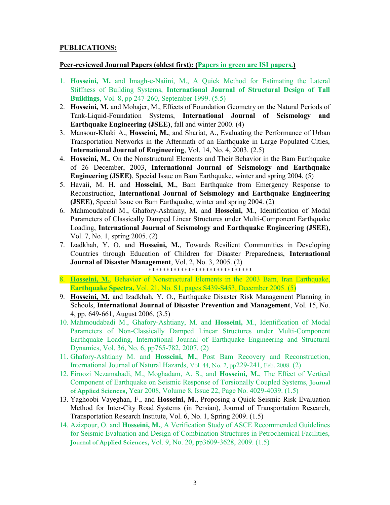### **PUBLICATIONS:**

### **Peer-reviewed Journal Papers (oldest first): (Papers in green are ISI papers.)**

- 1. **Hosseini, M.** and Imagh-e-Naiini, M., A Quick Method for Estimating the Lateral Stiffness of Building Systems, **International Journal of Structural Design of Tall Buildings**, Vol. 8, pp 247-260, September 1999. (5.5)
- 2. **Hosseini, M.** and Mohajer, M., Effects of Foundation Geometry on the Natural Periods of Tank-Liquid-Foundation Systems, **International Journal of Seismology and Earthquake Engineering (JSEE)**, fall and winter 2000. (4)
- 3. Mansour-Khaki A., **Hosseini, M.**, and Shariat, A., Evaluating the Performance of Urban Transportation Networks in the Aftermath of an Earthquake in Large Populated Cities, **International Journal of Engineering**, Vol. 14, No. 4, 2003. (2.5)
- 4. **Hosseini, M.**, On the Nonstructural Elements and Their Behavior in the Bam Earthquake of 26 December, 2003, **International Journal of Seismology and Earthquake Engineering (JSEE)**, Special Issue on Bam Earthquake, winter and spring 2004. (5)
- 5. Havaii, M. H. and **Hosseini, M.**, Bam Earthquake from Emergency Response to Reconstruction, **International Journal of Seismology and Earthquake Engineering (JSEE)**, Special Issue on Bam Earthquake, winter and spring 2004. (2)
- 6. Mahmoudabadi M., Ghafory-Ashtiany, M. and **Hosseini, M**., Identification of Modal Parameters of Classically Damped Linear Structures under Multi-Component Earthquake Loading, **International Journal of Seismology and Earthquake Engineering (JSEE)**, Vol. 7, No. 1, spring 2005. (2)
- 7. Izadkhah, Y. O. and **Hosseini, M.**, Towards Resilient Communities in Developing Countries through Education of Children for Disaster Preparedness, **International Journal of Disaster Management**, Vol. 2, No. 3, 2005. (2) \*\*\*\*\*\*\*\*\*\*\*\*\*\*\*\*\*\*\*\*\*\*\*\*\*\*\*\*\*
- 8. **Hosseini, M.**, Behavior of Nonstructural Elements in the 2003 Bam, Iran Earthquake, **Earthquake Spectra,** Vol. 21, No. S1, pages S439-S453, December 2005. (5)
- 9. **Hosseini, M.** and Izadkhah, Y. O., Earthquake Disaster Risk Management Planning in Schools, **International Journal of Disaster Prevention and Management**, Vol. 15, No. 4, pp. 649-661, August 2006. (3.5)
- 10. Mahmoudabadi M., Ghafory-Ashtiany, M. and **Hosseini, M**., Identification of Modal Parameters of Non-Classically Damped Linear Structures under Multi-Component Earthquake Loading, International Journal of Earthquake Engineering and Structural Dynamics, Vol. 36, No. 6, pp765-782, 2007. (2)
- 11. Ghafory-Ashtiany M. and **Hosseini, M.**, Post Bam Recovery and Reconstruction, International Journal of Natural Hazards, Vol. 44, No. 2, pp229-241, Feb. 2008. (2)
- 12. Firoozi Nezamabadi, M., Moghadam, A. S., and **Hosseini, M.**, The Effect of Vertical Component of Earthquake on Seismic Response of Torsionally Coupled Systems, **Journal of Applied Sciences,** Year 2008, Volume 8, Issue 22, Page No. 4029-4039. (1.5)
- 13. Yaghoobi Vayeghan, F., and **Hosseini, M.**, Proposing a Quick Seismic Risk Evaluation Method for Inter-City Road Systems (in Persian), Journal of Transportation Research, Transportation Research Institute, Vol. 6, No. 1, Spring 2009. (1.5)
- 14. Azizpour, O. and **Hosseini, M.**, A Verification Study of ASCE Recommended Guidelines for Seismic Evaluation and Design of Combination Structures in Petrochemical Facilities, **Journal of Applied Sciences,** Vol. 9, No. 20, pp3609-3628, 2009. (1.5)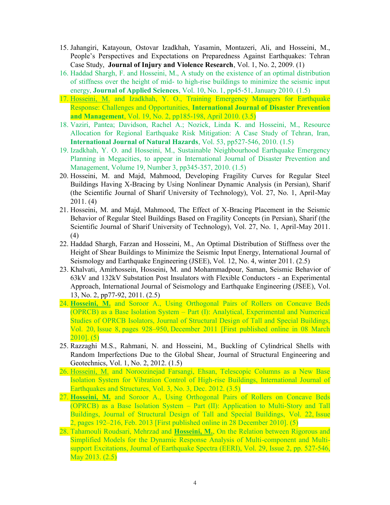- 15. Jahangiri, Katayoun, Ostovar Izadkhah, Yasamin, Montazeri, Ali, and Hosseini, M., People's Perspectives and Expectations on Preparedness Against Earthquakes: Tehran Case Study, **Journal of Injury and Violence Research**, Vol. 1, No. 2, 2009. (1)
- 16. Haddad Shargh, F. and Hosseini, M., A study on the existence of an optimal distribution of stiffness over the height of mid- to high-rise buildings to minimize the seismic input energy, **Journal of Applied Sciences**, Vol. 10, No. 1, pp45-51, January 2010. (1.5)
- 17. Hosseini, M. and Izadkhah, Y. O., Training Emergency Managers for Earthquake Response: Challenges and Opportunities, **International Journal of Disaster Prevention and Management**, Vol. 19, No. 2, pp185-198, April 2010. (3.5)
- 18. Vaziri, Pantea; Davidson, Rachel A.; Nozick, Linda K. and Hosseini, M., Resource Allocation for Regional Earthquake Risk Mitigation: A Case Study of Tehran, Iran, **International Journal of Natural Hazards**, Vol. 53, pp527-546, 2010. (1.5)
- 19. Izadkhah, Y. O. and Hosseini, M., Sustainable Neighbourhood Earthquake Emergency Planning in Megacities, to appear in International Journal of Disaster Prevention and Management, Volume 19, Number 3, pp345-357, 2010. (1.5)
- 20. Hosseini, M. and Majd, Mahmood, Developing Fragility Curves for Regular Steel Buildings Having X-Bracing by Using Nonlinear Dynamic Analysis (in Persian), Sharif (the Scientific Journal of Sharif University of Technology), Vol. 27, No. 1, April-May 2011. (4)
- 21. Hosseini, M. and Majd, Mahmood, The Effect of X-Bracing Placement in the Seismic Behavior of Regular Steel Buildings Based on Fragility Concepts (in Persian), Sharif (the Scientific Journal of Sharif University of Technology), Vol. 27, No. 1, April-May 2011. (4)
- 22. Haddad Shargh, Farzan and Hosseini, M., An Optimal Distribution of Stiffness over the Height of Shear Buildings to Minimize the Seismic Input Energy, International Journal of Seismology and Earthquake Engineering (JSEE), Vol. 12, No. 4, winter 2011. (2.5)
- 23. Khalvati, Amirhossein, Hosseini, M. and Mohammadpour, Saman, Seismic Behavior of 63kV and 132kV Substation Post Insulators with Flexible Conductors - an Experimental Approach, International Journal of Seismology and Earthquake Engineering (JSEE), Vol. 13, No. 2, pp77-92, 2011. (2.5)
- 24. **Hosseini, M.** and Soroor A., Using Orthogonal Pairs of Rollers on Concave Beds (OPRCB) as a Base Isolation System – Part (I): Analytical, Experimental and Numerical Studies of OPRCB Isolators, Journal of Structural Design of Tall and Special Buildings, Vol. 20, Issue 8, pages 928–950, December 2011 [First published online in 08 March  $2010$ ]. (5)
- 25. Razzaghi M.S., Rahmani, N. and Hosseini, M., Buckling of Cylindrical Shells with Random Imperfections Due to the Global Shear, Journal of Structural Engineering and Geotechnics, Vol. 1, No. 2, 2012. (1.5)
- 26. Hosseini, M. and Noroozinejad Farsangi, Ehsan, Telescopic Columns as a New Base Isolation System for Vibration Control of High-rise Buildings, International Journal of Earthquakes and Structures, Vol. 3, No. 3, Dec. 2012. (3.5)
- 27. **Hosseini, M.** and Soroor A., Using Orthogonal Pairs of Rollers on Concave Beds (OPRCB) as a Base Isolation System – Part (II): Application to Multi-Story and Tall Buildings, Journal of Structural Design of Tall and Special Buildings, Vol. 22, Issue 2, pages 192–216, Feb. 2013 [First published online in 28 December 2010]. (5)
- 28. Tahamouli Roudsari, Mehrzad and **Hosseini, M.**, On the Relation between Rigorous and Simplified Models for the Dynamic Response Analysis of Multi-component and Multisupport Excitations, Journal of Earthquake Spectra (EERI), Vol. 29, Issue 2, pp. 527-546, May 2013. (2.5)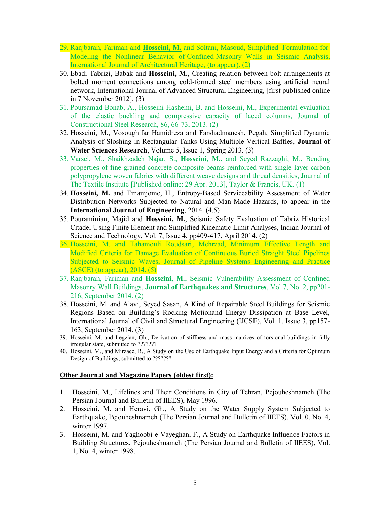- 29. Ranjbaran, Fariman and **Hosseini, M.** and Soltani, Masoud, Simplified Formulation for Modeling the Nonlinear Behavior of Confined Masonry Walls in Seismic Analysis, International Journal of Architectural Heritage, (to appear). (2)
- 30. Ebadi Tabrizi, Babak and **Hosseini, M.**, Creating relation between bolt arrangements at bolted moment connections among cold-formed steel members using artificial neural network, International Journal of Advanced Structural Engineering, [first published online in 7 November 2012]. (3)
- 31. Poursamad Bonab, A., Hosseini Hashemi, B. and Hosseini, M., Experimental evaluation of the elastic buckling and compressive capacity of laced columns, Journal of Constructional Steel Research, 86, 66-73, 2013. (2)
- 32. Hosseini, M., Vosoughifar Hamidreza and Farshadmanesh, Pegah, Simplified Dynamic Analysis of Sloshing in Rectangular Tanks Using Multiple Vertical Baffles, **Journal of Water Sciences Research**, Volume 5, Issue 1, Spring 2013. (3)
- 33. Varsei, M., Shaikhzadeh Najar, S., **Hosseini, M.**, and Seyed Razzaghi, M., Bending properties of fine-grained concrete composite beams reinforced with single-layer carbon polypropylene woven fabrics with different weave designs and thread densities, Journal of The Textile Institute [Published online: 29 Apr. 2013], Taylor & Francis, UK. (1)
- 34. **Hosseini, M.** and Emamjome, H., Entropy-Based Serviceability Assessment of Water Distribution Networks Subjected to Natural and Man-Made Hazards, to appear in the **International Journal of Engineering**, 2014. (4.5)
- 35. Pouraminian, Majid and **Hosseini, M.**, Seismic Safety Evaluation of Tabriz Historical Citadel Using Finite Element and Simplified Kinematic Limit Analyses, Indian Journal of Science and Technology, Vol. 7, Issue 4, pp409-417, April 2014. (2)
- 36. Hosseini, M. and Tahamouli Roudsari, Mehrzad, Minimum Effective Length and Modified Criteria for Damage Evaluation of Continuous Buried Straight Steel Pipelines Subjected to Seismic Waves, Journal of Pipeline Systems Engineering and Practice (ASCE) (to appear), 2014. (5)
- 37. Ranjbaran, Fariman and **Hosseini, M.**, Seismic Vulnerability Assessment of Confined Masonry Wall Buildings, **Journal of Earthquakes and Structures**, Vol.7, No. 2, pp201- 216, September 2014. (2)
- 38. Hosseini, M. and Alavi, Seyed Sasan, A Kind of Repairable Steel Buildings for Seismic Regions Based on Building's Rocking Motionand Energy Dissipation at Base Level, International Journal of Civil and Structural Engineering (IJCSE), Vol. 1, Issue 3, pp157- 163, September 2014. (3)
- 39. Hosseini, M. and Legzian, Gh., Derivation of stiffness and mass matrices of torsional buildings in fully irregular state, submitted to ???????
- 40. Hosseini, M., and Mirzaee, R., A Study on the Use of Earthquake Input Energy and a Criteria for Optimum Design of Buildings, submitted to ???????

#### **Other Journal and Magazine Papers (oldest first):**

- 1. Hosseini, M., Lifelines and Their Conditions in City of Tehran, Pejouheshnameh (The Persian Journal and Bulletin of IIEES), May 1996.
- 2. Hosseini, M. and Heravi, Gh., A Study on the Water Supply System Subjected to Earthquake, Pejouheshnameh (The Persian Journal and Bulletin of IIEES), Vol. 0, No. 4, winter 1997.
- 3. Hosseini, M. and Yaghoobi-e-Vayeghan, F., A Study on Earthquake Influence Factors in Building Structures, Pejouheshnameh (The Persian Journal and Bulletin of IIEES), Vol. 1, No. 4, winter 1998.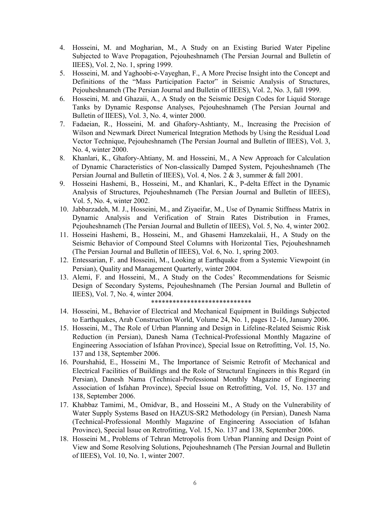- 4. Hosseini, M. and Mogharian, M., A Study on an Existing Buried Water Pipeline Subjected to Wave Propagation, Pejouheshnameh (The Persian Journal and Bulletin of IIEES), Vol. 2, No. 1, spring 1999.
- 5. Hosseini, M. and Yaghoobi-e-Vayeghan, F., A More Precise Insight into the Concept and Definitions of the "Mass Participation Factor" in Seismic Analysis of Structures, Pejouheshnameh (The Persian Journal and Bulletin of IIEES), Vol. 2, No. 3, fall 1999.
- 6. Hosseini, M. and Ghazaii, A., A Study on the Seismic Design Codes for Liquid Storage Tanks by Dynamic Response Analyses, Pejouheshnameh (The Persian Journal and Bulletin of IIEES), Vol. 3, No. 4, winter 2000.
- 7. Fadaeian, R., Hosseini, M. and Ghafory-Ashtianty, M., Increasing the Precision of Wilson and Newmark Direct Numerical Integration Methods by Using the Residual Load Vector Technique, Pejouheshnameh (The Persian Journal and Bulletin of IIEES), Vol. 3, No. 4, winter 2000.
- 8. Khanlari, K., Ghafory-Ahtiany, M. and Hosseini, M., A New Approach for Calculation of Dynamic Characteristics of Non-classically Damped System, Pejouheshnameh (The Persian Journal and Bulletin of IIEES), Vol. 4, Nos. 2 & 3, summer & fall 2001.
- 9. Hosseini Hashemi, B., Hosseini, M., and Khanlari, K., P-delta Effect in the Dynamic Analysis of Structures, Pejouheshnameh (The Persian Journal and Bulletin of IIEES), Vol. 5, No. 4, winter 2002.
- 10. Jabbarzadeh, M. J., Hosseini, M., and Ziyaeifar, M., Use of Dynamic Stiffness Matrix in Dynamic Analysis and Verification of Strain Rates Distribution in Frames, Pejouheshnameh (The Persian Journal and Bulletin of IIEES), Vol. 5, No. 4, winter 2002.
- 11. Hosseini Hashemi, B., Hosseini, M., and Ghasemi Hamzekalaii, H., A Study on the Seismic Behavior of Compound Steel Columns with Horizontal Ties, Pejouheshnameh (The Persian Journal and Bulletin of IIEES), Vol. 6, No. 1, spring 2003.
- 12. Entessarian, F. and Hosseini, M., Looking at Earthquake from a Systemic Viewpoint (in Persian), Quality and Management Quarterly, winter 2004.
- 13. Alemi, F. and Hosseini, M., A Study on the Codes' Recommendations for Seismic Design of Secondary Systems, Pejouheshnameh (The Persian Journal and Bulletin of IIEES), Vol. 7, No. 4, winter 2004.

#### \*\*\*\*\*\*\*\*\*\*\*\*\*\*\*\*\*\*\*\*\*\*\*\*\*\*\*\*

- 14. Hosseini, M., Behavior of Electrical and Mechanical Equipment in Buildings Subjected to Earthquakes, Arab Construction World, Volume 24, No. 1, pages 12-16, January 2006.
- 15. Hosseini, M., The Role of Urban Planning and Design in Lifeline-Related Seismic Risk Reduction (in Persian), Danesh Nama (Technical-Professional Monthly Magazine of Engineering Association of Isfahan Province), Special Issue on Retrofitting, Vol. 15, No. 137 and 138, September 2006.
- 16. Pourshahid, E., Hosseini M., The Importance of Seismic Retrofit of Mechanical and Electrical Facilities of Buildings and the Role of Structural Engineers in this Regard (in Persian), Danesh Nama (Technical-Professional Monthly Magazine of Engineering Association of Isfahan Province), Special Issue on Retrofitting, Vol. 15, No. 137 and 138, September 2006.
- 17. Khabbaz Tamimi, M., Omidvar, B., and Hosseini M., A Study on the Vulnerability of Water Supply Systems Based on HAZUS-SR2 Methodology (in Persian), Danesh Nama (Technical-Professional Monthly Magazine of Engineering Association of Isfahan Province), Special Issue on Retrofitting, Vol. 15, No. 137 and 138, September 2006.
- 18. Hosseini M., Problems of Tehran Metropolis from Urban Planning and Design Point of View and Some Resolving Solutions, Pejouheshnameh (The Persian Journal and Bulletin of IIEES), Vol. 10, No. 1, winter 2007.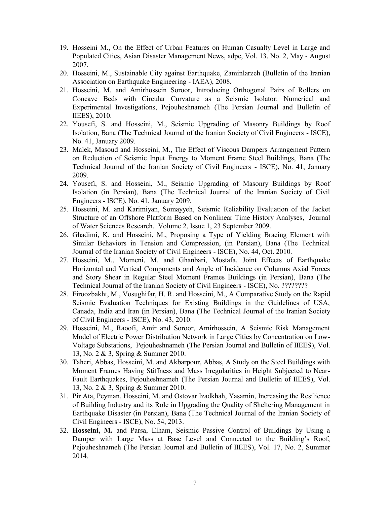- 19. Hosseini M., On the Effect of Urban Features on Human Casualty Level in Large and Populated Cities, Asian Disaster Management News, adpc, Vol. 13, No. 2, May - August 2007.
- 20. Hosseini, M., Sustainable City against Earthquake, Zaminlarzeh (Bulletin of the Iranian Association on Earthquake Engineering - IAEA), 2008.
- 21. Hosseini, M. and Amirhossein Soroor, Introducing Orthogonal Pairs of Rollers on Concave Beds with Circular Curvature as a Seismic Isolator: Numerical and Experimental Investigations, Pejouheshnameh (The Persian Journal and Bulletin of IIEES), 2010.
- 22. Yousefi, S. and Hosseini, M., Seismic Upgrading of Masonry Buildings by Roof Isolation, Bana (The Technical Journal of the Iranian Society of Civil Engineers - ISCE), No. 41, January 2009.
- 23. Malek, Masoud and Hosseini, M., The Effect of Viscous Dampers Arrangement Pattern on Reduction of Seismic Input Energy to Moment Frame Steel Buildings, Bana (The Technical Journal of the Iranian Society of Civil Engineers - ISCE), No. 41, January 2009.
- 24. Yousefi, S. and Hosseini, M., Seismic Upgrading of Masonry Buildings by Roof Isolation (in Persian), Bana (The Technical Journal of the Iranian Society of Civil Engineers - ISCE), No. 41, January 2009.
- 25. Hosseini, M. and Karimiyan, Somayyeh, Seismic Reliability Evaluation of the Jacket Structure of an Offshore Platform Based on Nonlinear Time History Analyses, Journal of Water Sciences Research, Volume 2, Issue 1, 23 September 2009.
- 26. Ghadimi, K. and Hosseini, M., Proposing a Type of Yielding Bracing Element with Similar Behaviors in Tension and Compression, (in Persian), Bana (The Technical Journal of the Iranian Society of Civil Engineers - ISCE), No. 44, Oct. 2010.
- 27. Hosseini, M., Momeni, M. and Ghanbari, Mostafa, Joint Effects of Earthquake Horizontal and Vertical Components and Angle of Incidence on Columns Axial Forces and Story Shear in Regular Steel Moment Frames Buildings (in Persian), Bana (The Technical Journal of the Iranian Society of Civil Engineers - ISCE), No. ????????
- 28. Firoozbakht, M., Vosughifar, H. R. and Hosseini, M., A Comparative Study on the Rapid Seismic Evaluation Techniques for Existing Buildings in the Guidelines of USA, Canada, India and Iran (in Persian), Bana (The Technical Journal of the Iranian Society of Civil Engineers - ISCE), No. 43, 2010.
- 29. Hosseini, M., Raoofi, Amir and Soroor, Amirhossein, A Seismic Risk Management Model of Electric Power Distribution Network in Large Cities by Concentration on Low-Voltage Substations, Pejouheshnameh (The Persian Journal and Bulletin of IIEES), Vol. 13, No. 2 & 3, Spring & Summer 2010.
- 30. Taheri, Abbas, Hosseini, M. and Akbarpour, Abbas, A Study on the Steel Buildings with Moment Frames Having Stiffness and Mass Irregularities in Height Subjected to Near-Fault Earthquakes, Pejouheshnameh (The Persian Journal and Bulletin of IIEES), Vol. 13, No. 2 & 3, Spring & Summer 2010.
- 31. Pir Ata, Peyman, Hosseini, M. and Ostovar Izadkhah, Yasamin, Increasing the Resilience of Building Industry and its Role in Upgrading the Quality of Sheltering Management in Earthquake Disaster (in Persian), Bana (The Technical Journal of the Iranian Society of Civil Engineers - ISCE), No. 54, 2013.
- 32. **Hosseini, M.** and Parsa, Elham, Seismic Passive Control of Buildings by Using a Damper with Large Mass at Base Level and Connected to the Building's Roof, Pejouheshnameh (The Persian Journal and Bulletin of IIEES), Vol. 17, No. 2, Summer 2014.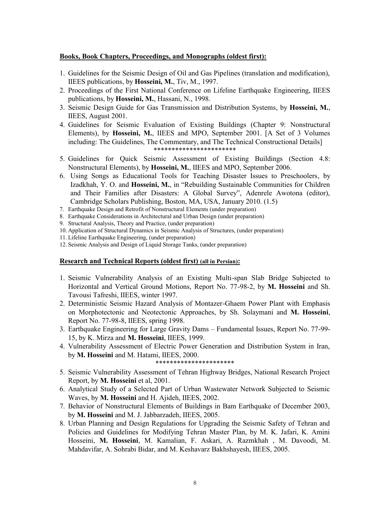### **Books, Book Chapters, Proceedings, and Monographs (oldest first):**

- 1. Guidelines for the Seismic Design of Oil and Gas Pipelines (translation and modification), IIEES publications, by **Hosseini, M.**, Tiv, M., 1997.
- 2. Proceedings of the First National Conference on Lifeline Earthquake Engineering, IIEES publications, by **Hosseini, M.**, Hassani, N., 1998.
- 3. Seismic Design Guide for Gas Transmission and Distribution Systems, by **Hosseini, M.**, IIEES, August 2001.
- 4. Guidelines for Seismic Evaluation of Existing Buildings (Chapter 9: Nonstructural Elements), by **Hosseini, M.**, IIEES and MPO, September 2001. [A Set of 3 Volumes including: The Guidelines, The Commentary, and The Technical Constructional Details] \*\*\*\*\*\*\*\*\*\*\*\*\*\*\*\*\*\*\*\*\*\*\*
- 5. Guidelines for Quick Seismic Assessment of Existing Buildings (Section 4.8: Nonstructural Elements), by **Hosseini, M.**, IIEES and MPO, September 2006.
- 6. Using Songs as Educational Tools for Teaching Disaster Issues to Preschoolers, by Izadkhah, Y. O. and **Hosseini, M.**, in "Rebuilding Sustainable Communities for Children and Their Families after Disasters: A Global Survey", Adenrele Awotona (editor), Cambridge Scholars Publishing, Boston, MA, USA, January 2010. (1.5)
- 7. Earthquake Design and Retrofit of Nonstructural Elements (under preparation)
- 8. Earthquake Considerations in Architectural and Urban Design (under preparation)
- 9. Structural Analysis, Theory and Practice, (under preparation)
- 10. Application of Structural Dynamics in Seismic Analysis of Structures, (under preparation)
- 11. Lifeline Earthquake Engineering, (under preparation)
- 12. Seismic Analysis and Design of Liquid Storage Tanks, (under preparation)

#### **Research and Technical Reports (oldest first) (all in Persian):**

- 1. Seismic Vulnerability Analysis of an Existing Multi-span Slab Bridge Subjected to Horizontal and Vertical Ground Motions, Report No. 77-98-2, by **M. Hosseini** and Sh. Tavousi Tafreshi, IIEES, winter 1997.
- 2. Deterministic Seismic Hazard Analysis of Montazer-Ghaem Power Plant with Emphasis on Morphotectonic and Neotectonic Approaches, by Sh. Solaymani and **M. Hosseini**, Report No. 77-98-8, IIEES, spring 1998.
- 3. Earthquake Engineering for Large Gravity Dams Fundamental Issues, Report No. 77-99- 15, by K. Mirza and **M. Hosseini**, IIEES, 1999.
- 4. Vulnerability Assessment of Electric Power Generation and Distribution System in Iran, by **M. Hosseini** and M. Hatami, IIEES, 2000.

#### \*\*\*\*\*\*\*\*\*\*\*\*\*\*\*\*\*\*\*\*\*\*

- 5. Seismic Vulnerability Assessment of Tehran Highway Bridges, National Research Project Report, by **M. Hosseini** et al, 2001.
- 6. Analytical Study of a Selected Part of Urban Wastewater Network Subjected to Seismic Waves, by **M. Hosseini** and H. Ajideh, IIEES, 2002.
- 7. Behavior of Nonstructural Elements of Buildings in Bam Earthquake of December 2003, by **M. Hosseini** and M. J. Jabbarzadeh, IIEES, 2005.
- 8. Urban Planning and Design Regulations for Upgrading the Seismic Safety of Tehran and Policies and Guidelines for Modifying Tehran Master Plan, by M. K. Jafari, K. Amini Hosseini, **M. Hosseini**, M. Kamalian, F. Askari, A. Razmkhah , M. Davoodi, M. Mahdavifar, A. Sohrabi Bidar, and M. Keshavarz Bakhshayesh, IIEES, 2005.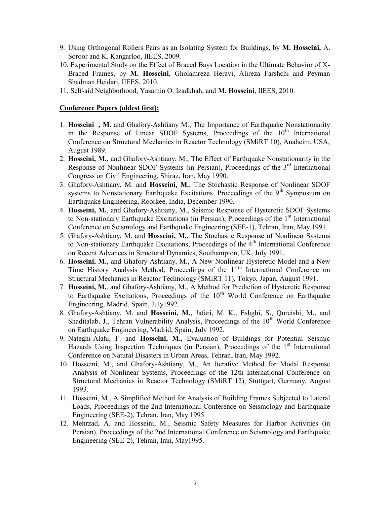- 9. Using Orthogonal Rollers Pairs as an Isolating System for Buildings, by **M. Hosseini,** A. Soroor and K. Kangarloo, IIEES, 2009.
- 10. Experimental Study on the Effect of Braced Bays Location in the Ultimate Behavior of X-Braced Frames, by **M. Hosseini**, Gholamreza Heravi, Alireza Farshchi and Peyman Shadman Heidari, IIEES, 2010.
- 11. Self-aid Neighborhood, Yasamin O. Izadkhah, and **M. Hosseini**, IIEES, 2010.

### **Conference Papers (oldest first):**

- 1. **Hosseini**, M. and Ghafory-Ashtiany M., The Importance of Earthquake Nonstationarity in the Response of Linear SDOF Systems, Proceedings of the  $10<sup>th</sup>$  International Conference on Structural Mechanics in Reactor Technology (SMiRT 10), Anaheim, USA, August 1989.
- 2. **Hosseini, M.**, and Ghafory-Ashtiany, M., The Effect of Earthquake Nonstationarity in the Response of Nonlinear SDOF Systems (in Persian), Proceedings of the 3<sup>rd</sup> International Congress on Civil Engineering, Shiraz, Iran, May 1990.
- 3. Ghafory-Ashtiany, M. and **Hosseini, M.**, The Stochastic Response of Nonlinear SDOF systems to Nonstationary Earthquake Excitations, Proceedings of the  $9<sup>th</sup>$  Symposium on Earthquake Engineering, Roorkee, India, December 1990.
- 4. **Hosseini, M.**, and Ghafory-Ashtiany, M., Seismic Response of Hysteretic SDOF Systems to Non-stationary Earthquake Excitations (in Persian), Proceedings of the  $1<sup>st</sup>$  International Conference on Seismology and Earthquake Engineering (SEE-1), Tehran, Iran, May 1991.
- 5. Ghafory-Ashtiany, M. and **Hosseini, M.**, The Stochastic Response of Nonlinear Systems to Non-stationary Earthquake Excitations, Proceedings of the 4<sup>th</sup> International Conference on Recent Advances in Structural Dynamics, Southampton, UK, July 1991.
- 6. **Hosseini, M.**, and Ghafory-Ashtiany, M., A New Nonlinear Hysteretic Model and a New Time History Analysis Method, Proceedings of the  $11<sup>th</sup>$  International Conference on Structural Mechanics in Reactor Technology (SMiRT 11), Tokyo, Japan, August 1991.
- 7. **Hosseini, M.**, and Ghafory-Ashtiany, M., A Method for Prediction of Hysteretic Response to Earthquake Excitations, Proceedings of the  $10<sup>th</sup>$  World Conference on Earthquake Engineering, Madrid, Spain, July1992.
- 8. Ghafory-Ashtiany, M. and **Hosseini, M.**, Jafari, M. K., Eshghi, S., Qureishi, M., and Shaditalab, J., Tehran Vulnerability Analysis, Proceedings of the  $10<sup>th</sup>$  World Conference on Earthquake Engineering, Madrid, Spain, July 1992.
- 9. Nateghi-Alahi, F. and **Hosseini, M.**, Evaluation of Buildings for Potential Seismic Hazards Using Inspection Techniques (in Persian), Proceedings of the  $1<sup>st</sup>$  International Conference on Natural Disasters in Urban Areas, Tehran, Iran, May 1992.
- 10. Hosseini, M., and Ghafory-Ashtiany, M., An Iterative Method for Modal Response Analysis of Nonlinear Systems, Proceedings of the 12th International Conference on Structural Mechanics in Reactor Technology (SMiRT 12), Stuttgart, Germany, August 1993.
- 11. Hosseini, M., A Simplified Method for Analysis of Building Frames Subjected to Lateral Loads, Proceedings of the 2nd International Conference on Seismology and Earthquake Engineering (SEE-2), Tehran, Iran, May 1995.
- 12. Mehrzad, A. and Hosseini, M., Seismic Safety Measures for Harbor Activities (in Persian), Proceedings of the 2nd International Conference on Seismology and Earthquake Engineering (SEE-2), Tehran, Iran, May1995.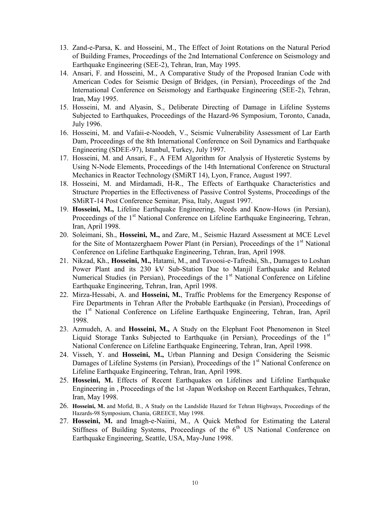- 13. Zand-e-Parsa, K. and Hosseini, M., The Effect of Joint Rotations on the Natural Period of Building Frames, Proceedings of the 2nd International Conference on Seismology and Earthquake Engineering (SEE-2), Tehran, Iran, May 1995.
- 14. Ansari, F. and Hosseini, M., A Comparative Study of the Proposed Iranian Code with American Codes for Seismic Design of Bridges, (in Persian), Proceedings of the 2nd International Conference on Seismology and Earthquake Engineering (SEE-2), Tehran, Iran, May 1995.
- 15. Hosseini, M. and Alyasin, S., Deliberate Directing of Damage in Lifeline Systems Subjected to Earthquakes, Proceedings of the Hazard-96 Symposium, Toronto, Canada, July 1996.
- 16. Hosseini, M. and Vafaii-e-Noodeh, V., Seismic Vulnerability Assessment of Lar Earth Dam, Proceedings of the 8th International Conference on Soil Dynamics and Earthquake Engineering (SDEE-97), Istanbul, Turkey, July 1997.
- 17. Hosseini, M. and Ansari, F., A FEM Algorithm for Analysis of Hysteretic Systems by Using N-Node Elements, Proceedings of the 14th International Conference on Structural Mechanics in Reactor Technology (SMiRT 14), Lyon, France, August 1997.
- 18. Hosseini, M. and Mirdamadi, H-R., The Effects of Earthquake Characteristics and Structure Properties in the Effectiveness of Passive Control Systems, Proceedings of the SMiRT-14 Post Conference Seminar, Pisa, Italy, August 1997.
- 19. **Hosseini, M.,** Lifeline Earthquake Engineering, Needs and Know-Hows (in Persian), Proceedings of the 1<sup>st</sup> National Conference on Lifeline Earthquake Engineering, Tehran, Iran, April 1998.
- 20. Soleimani, Sh., **Hosseini, M.,** and Zare, M., Seismic Hazard Assessment at MCE Level for the Site of Montazerghaem Power Plant (in Persian), Proceedings of the 1<sup>st</sup> National Conference on Lifeline Earthquake Engineering, Tehran, Iran, April 1998.
- 21. Nikzad, Kh., **Hosseini, M.,** Hatami, M., and Tavoosi-e-Tafreshi, Sh., Damages to Loshan Power Plant and its 230 kV Sub-Station Due to Manjil Earthquake and Related Numerical Studies (in Persian), Proceedings of the  $1<sup>st</sup>$  National Conference on Lifeline Earthquake Engineering, Tehran, Iran, April 1998.
- 22. Mirza-Hessabi, A. and **Hosseini, M.**, Traffic Problems for the Emergency Response of Fire Departments in Tehran After the Probable Earthquake (in Persian), Proceedings of the 1st National Conference on Lifeline Earthquake Engineering, Tehran, Iran, April 1998.
- 23. Azmudeh, A. and **Hosseini, M.,** A Study on the Elephant Foot Phenomenon in Steel Liquid Storage Tanks Subjected to Earthquake (in Persian), Proceedings of the  $1<sup>st</sup>$ National Conference on Lifeline Earthquake Engineering, Tehran, Iran, April 1998.
- 24. Visseh, Y. and **Hosseini, M.,** Urban Planning and Design Considering the Seismic Damages of Lifeline Systems (in Persian), Proceedings of the 1<sup>st</sup> National Conference on Lifeline Earthquake Engineering, Tehran, Iran, April 1998.
- 25. **Hosseini, M.** Effects of Recent Earthquakes on Lifelines and Lifeline Earthquake Engineering in , Proceedings of the 1st -Japan Workshop on Recent Earthquakes, Tehran, Iran, May 1998.
- 26. **Hosseini, M.** and Mofid, B., A Study on the Landslide Hazard for Tehran Highways, Proceedings of the Hazards-98 Symposium, Chania, GREECE, May 1998.
- 27. **Hosseini, M.** and Imagh-e-Naiini, M., A Quick Method for Estimating the Lateral Stiffness of Building Systems, Proceedings of the  $6<sup>th</sup>$  US National Conference on Earthquake Engineering, Seattle, USA, May-June 1998.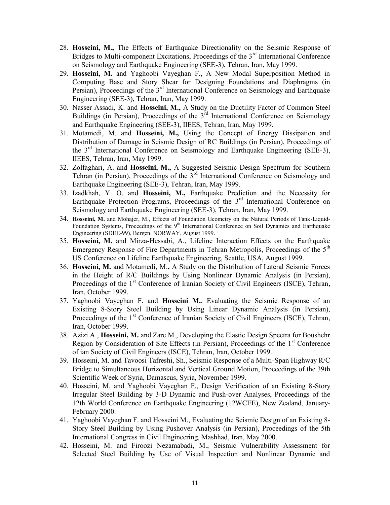- 28. **Hosseini, M.,** The Effects of Earthquake Directionality on the Seismic Response of Bridges to Multi-component Excitations, Proceedings of the  $3<sup>rd</sup>$  International Conference on Seismology and Earthquake Engineering (SEE-3), Tehran, Iran, May 1999.
- 29. **Hosseini, M.** and Yaghoobi Vayeghan F., A New Modal Superposition Method in Computing Base and Story Shear for Designing Foundations and Diaphragms (in Persian), Proceedings of the  $3<sup>rd</sup>$  International Conference on Seismology and Earthquake Engineering (SEE-3), Tehran, Iran, May 1999.
- 30. Nasser Assadi, K. and **Hosseini, M.,** A Study on the Ductility Factor of Common Steel Buildings (in Persian), Proceedings of the  $3<sup>rd</sup>$  International Conference on Seismology and Earthquake Engineering (SEE-3), IIEES, Tehran, Iran, May 1999.
- 31. Motamedi, M. and **Hosseini, M.,** Using the Concept of Energy Dissipation and Distribution of Damage in Seismic Design of RC Buildings (in Persian), Proceedings of the  $3<sup>rd</sup>$  International Conference on Seismology and Earthquake Engineering (SEE-3), IIEES, Tehran, Iran, May 1999.
- 32. Zolfaghari, A. and **Hosseini, M.,** A Suggested Seismic Design Spectrum for Southern Tehran (in Persian), Proceedings of the  $3<sup>rd</sup>$  International Conference on Seismology and Earthquake Engineering (SEE-3), Tehran, Iran, May 1999.
- 33. Izadkhah, Y. O. and **Hosseini, M.,** Earthquake Prediction and the Necessity for Earthquake Protection Programs, Proceedings of the  $3<sup>rd</sup>$  International Conference on Seismology and Earthquake Engineering (SEE-3), Tehran, Iran, May 1999.
- 34. **Hosseini, M.** and Mohajer, M., Effects of Foundation Geometry on the Natural Periods of Tank-Liquid-Foundation Systems, Proceedings of the 9<sup>th</sup> International Conference on Soil Dynamics and Earthquake Engineering (SDEE-99), Bergen, NORWAY, August 1999.
- 35. **Hosseini, M.** and Mirza-Hessabi, A., Lifeline Interaction Effects on the Earthquake Emergency Response of Fire Departments in Tehran Metropolis, Proceedings of the 5<sup>th</sup> US Conference on Lifeline Earthquake Engineering, Seattle, USA, August 1999.
- 36. **Hosseini, M.** and Motamedi, M.**,** A Study on the Distribution of Lateral Seismic Forces in the Height of R/C Buildings by Using Nonlinear Dynamic Analysis (in Persian), Proceedings of the 1<sup>st</sup> Conference of Iranian Society of Civil Engineers (ISCE), Tehran, Iran, October 1999.
- 37. Yaghoobi Vayeghan F. and **Hosseini M.**, Evaluating the Seismic Response of an Existing 8-Story Steel Building by Using Linear Dynamic Analysis (in Persian), Proceedings of the 1<sup>st</sup> Conference of Iranian Society of Civil Engineers (ISCE), Tehran, Iran, October 1999.
- 38. Azizi A., **Hosseini, M.** and Zare M., Developing the Elastic Design Spectra for Boushehr Region by Consideration of Site Effects (in Persian), Proceedings of the  $1<sup>st</sup>$  Conference of ian Society of Civil Engineers (ISCE), Tehran, Iran, October 1999.
- 39. Hosseini, M. and Tavoosi Tafreshi, Sh., Seismic Response of a Multi-Span Highway R/C Bridge to Simultaneous Horizontal and Vertical Ground Motion, Proceedings of the 39th Scientific Week of Syria, Damascus, Syria, November 1999.
- 40. Hosseini, M. and Yaghoobi Vayeghan F., Design Verification of an Existing 8-Story Irregular Steel Building by 3-D Dynamic and Push-over Analyses, Proceedings of the 12th World Conference on Earthquake Engineering (12WCEE), New Zealand, January-February 2000.
- 41. Yaghoobi Vayeghan F. and Hosseini M., Evaluating the Seismic Design of an Existing 8- Story Steel Building by Using Pushover Analysis (in Persian), Proceedings of the 5th International Congress in Civil Engineering, Mashhad, Iran, May 2000.
- 42. Hosseini, M. and Firoozi Nezamabadi, M., Seismic Vulnerability Assessment for Selected Steel Building by Use of Visual Inspection and Nonlinear Dynamic and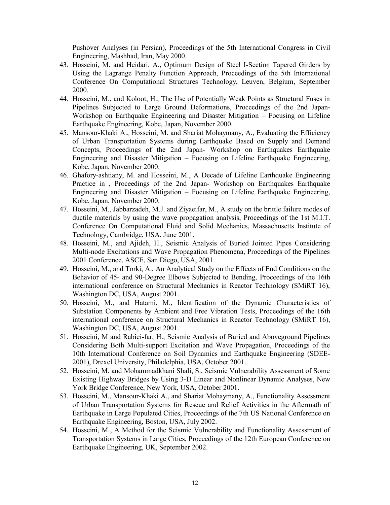Pushover Analyses (in Persian), Proceedings of the 5th International Congress in Civil Engineering, Mashhad, Iran, May 2000.

- 43. Hosseini, M. and Heidari, A., Optimum Design of Steel I-Section Tapered Girders by Using the Lagrange Penalty Function Approach, Proceedings of the 5th International Conference On Computational Structures Technology, Leuven, Belgium, September 2000.
- 44. Hosseini, M., and Koloot, H., The Use of Potentially Weak Points as Structural Fuses in Pipelines Subjected to Large Ground Deformations, Proceedings of the 2nd Japan-Workshop on Earthquake Engineering and Disaster Mitigation – Focusing on Lifeline Earthquake Engineering, Kobe, Japan, November 2000.
- 45. Mansour-Khaki A., Hosseini, M. and Shariat Mohaymany, A., Evaluating the Efficiency of Urban Transportation Systems during Earthquake Based on Supply and Demand Concepts, Proceedings of the 2nd Japan- Workshop on Earthquakes Earthquake Engineering and Disaster Mitigation – Focusing on Lifeline Earthquake Engineering, Kobe, Japan, November 2000.
- 46. Ghafory-ashtiany, M. and Hosseini, M., A Decade of Lifeline Earthquake Engineering Practice in , Proceedings of the 2nd Japan- Workshop on Earthquakes Earthquake Engineering and Disaster Mitigation – Focusing on Lifeline Earthquake Engineering, Kobe, Japan, November 2000.
- 47. Hosseini, M., Jabbarzadeh, M.J. and Ziyaeifar, M., A study on the brittle failure modes of ductile materials by using the wave propagation analysis, Proceedings of the 1st M.I.T. Conference On Computational Fluid and Solid Mechanics, Massachusetts Institute of Technology, Cambridge, USA, June 2001.
- 48. Hosseini, M., and Ajideh, H., Seismic Analysis of Buried Jointed Pipes Considering Multi-node Excitations and Wave Propagation Phenomena, Proceedings of the Pipelines 2001 Conference, ASCE, San Diego, USA, 2001.
- 49. Hosseini, M., and Torki, A., An Analytical Study on the Effects of End Conditions on the Behavior of 45- and 90-Degree Elbows Subjected to Bending, Proceedings of the 16th international conference on Structural Mechanics in Reactor Technology (SMiRT 16), Washington DC, USA, August 2001.
- 50. Hosseini, M., and Hatami, M., Identification of the Dynamic Characteristics of Substation Components by Ambient and Free Vibration Tests, Proceedings of the 16th international conference on Structural Mechanics in Reactor Technology (SMiRT 16), Washington DC, USA, August 2001.
- 51. Hosseini, M and Rabiei-far, H., Seismic Analysis of Buried and Aboveground Pipelines Considering Both Multi-support Excitation and Wave Propagation, Proceedings of the 10th International Conference on Soil Dynamics and Earthquake Engineering (SDEE-2001), Drexel University, Philadelphia, USA, October 2001.
- 52. Hosseini, M. and Mohammadkhani Shali, S., Seismic Vulnerability Assessment of Some Existing Highway Bridges by Using 3-D Linear and Nonlinear Dynamic Analyses, New York Bridge Conference, New York, USA, October 2001.
- 53. Hosseini, M., Mansour-Khaki A., and Shariat Mohaymany, A., Functionality Assessment of Urban Transportation Systems for Rescue and Relief Activities in the Aftermath of Earthquake in Large Populated Cities, Proceedings of the 7th US National Conference on Earthquake Engineering, Boston, USA, July 2002.
- 54. Hosseini, M., A Method for the Seismic Vulnerability and Functionality Assessment of Transportation Systems in Large Cities, Proceedings of the 12th European Conference on Earthquake Engineering, UK, September 2002.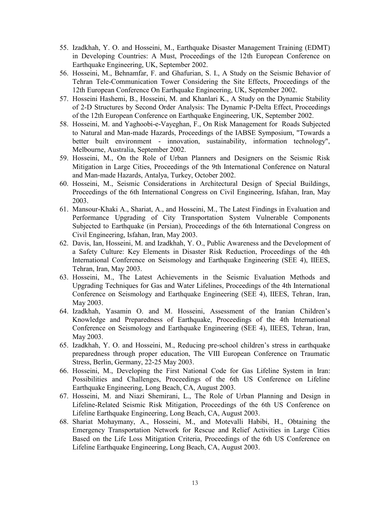- 55. Izadkhah, Y. O. and Hosseini, M., Earthquake Disaster Management Training (EDMT) in Developing Countries: A Must, Proceedings of the 12th European Conference on Earthquake Engineering, UK, September 2002.
- 56. Hosseini, M., Behnamfar, F. and Ghafurian, S. I., A Study on the Seismic Behavior of Tehran Tele-Communication Tower Considering the Site Effects, Proceedings of the 12th European Conference On Earthquake Engineering, UK, September 2002.
- 57. Hosseini Hashemi, B., Hosseini, M. and Khanlari K., A Study on the Dynamic Stability of 2-D Structures by Second Order Analysis: The Dynamic P-Delta Effect, Proceedings of the 12th European Conference on Earthquake Engineering, UK, September 2002.
- 58. Hosseini, M. and Yaghoobi-e-Vayeghan, F., On Risk Management for Roads Subjected to Natural and Man-made Hazards, Proceedings of the IABSE Symposium, "Towards a better built environment - innovation, sustainability, information technology", Melbourne, Australia, September 2002.
- 59. Hosseini, M., On the Role of Urban Planners and Designers on the Seismic Risk Mitigation in Large Cities, Proceedings of the 9th International Conference on Natural and Man-made Hazards, Antalya, Turkey, October 2002.
- 60. Hosseini, M., Seismic Considerations in Architectural Design of Special Buildings, Proceedings of the 6th International Congress on Civil Engineering, Isfahan, Iran, May 2003.
- 61. Mansour-Khaki A., Shariat, A., and Hosseini, M., The Latest Findings in Evaluation and Performance Upgrading of City Transportation System Vulnerable Components Subjected to Earthquake (in Persian), Proceedings of the 6th International Congress on Civil Engineering, Isfahan, Iran, May 2003.
- 62. Davis, Ian, Hosseini, M. and Izadkhah, Y. O., Public Awareness and the Development of a Safety Culture: Key Elements in Disaster Risk Reduction, Proceedings of the 4th International Conference on Seismology and Earthquake Engineering (SEE 4), IIEES, Tehran, Iran, May 2003.
- 63. Hosseini, M., The Latest Achievements in the Seismic Evaluation Methods and Upgrading Techniques for Gas and Water Lifelines, Proceedings of the 4th International Conference on Seismology and Earthquake Engineering (SEE 4), IIEES, Tehran, Iran, May 2003.
- 64. Izadkhah, Yasamin O. and M. Hosseini, Assessment of the Iranian Children's Knowledge and Preparedness of Earthquake, Proceedings of the 4th International Conference on Seismology and Earthquake Engineering (SEE 4), IIEES, Tehran, Iran, May 2003.
- 65. Izadkhah, Y. O. and Hosseini, M., Reducing pre-school children's stress in earthquake preparedness through proper education, The VIII European Conference on Traumatic Stress, Berlin, Germany, 22-25 May 2003.
- 66. Hosseini, M., Developing the First National Code for Gas Lifeline System in Iran: Possibilities and Challenges, Proceedings of the 6th US Conference on Lifeline Earthquake Engineering, Long Beach, CA, August 2003.
- 67. Hosseini, M. and Niazi Shemirani, L., The Role of Urban Planning and Design in Lifeline-Related Seismic Risk Mitigation, Proceedings of the 6th US Conference on Lifeline Earthquake Engineering, Long Beach, CA, August 2003.
- 68. Shariat Mohaymany, A., Hosseini, M., and Motevalli Habibi, H., Obtaining the Emergency Transportation Network for Rescue and Relief Activities in Large Cities Based on the Life Loss Mitigation Criteria, Proceedings of the 6th US Conference on Lifeline Earthquake Engineering, Long Beach, CA, August 2003.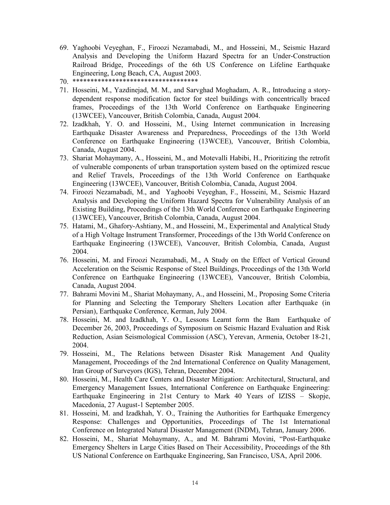- 69. Yaghoobi Veyeghan, F., Firoozi Nezamabadi, M., and Hosseini, M., Seismic Hazard Analysis and Developing the Uniform Hazard Spectra for an Under-Construction Railroad Bridge, Proceedings of the 6th US Conference on Lifeline Earthquake Engineering, Long Beach, CA, August 2003.
- 70. \*\*\*\*\*\*\*\*\*\*\*\*\*\*\*\*\*\*\*\*\*\*\*\*\*\*\*\*\*\*\*\*\*\*\*
- 71. Hosseini, M., Yazdinejad, M. M., and Sarvghad Moghadam, A. R., Introducing a storydependent response modification factor for steel buildings with concentrically braced frames, Proceedings of the 13th World Conference on Earthquake Engineering (13WCEE), Vancouver, British Colombia, Canada, August 2004.
- 72. Izadkhah, Y. O. and Hosseini, M., Using Internet communication in Increasing Earthquake Disaster Awareness and Preparedness, Proceedings of the 13th World Conference on Earthquake Engineering (13WCEE), Vancouver, British Colombia, Canada, August 2004.
- 73. Shariat Mohaymany, A., Hosseini, M., and Motevalli Habibi, H., Prioritizing the retrofit of vulnerable components of urban transportation system based on the optimized rescue and Relief Travels, Proceedings of the 13th World Conference on Earthquake Engineering (13WCEE), Vancouver, British Colombia, Canada, August 2004.
- 74. Firoozi Nezamabadi, M., and Yaghoobi Veyeghan, F., Hosseini, M., Seismic Hazard Analysis and Developing the Uniform Hazard Spectra for Vulnerability Analysis of an Existing Building, Proceedings of the 13th World Conference on Earthquake Engineering (13WCEE), Vancouver, British Colombia, Canada, August 2004.
- 75. Hatami, M., Ghafory-Ashtiany, M., and Hosseini, M., Experimental and Analytical Study of a High Voltage Instrument Transformer, Proceedings of the 13th World Conference on Earthquake Engineering (13WCEE), Vancouver, British Colombia, Canada, August 2004.
- 76. Hosseini, M. and Firoozi Nezamabadi, M., A Study on the Effect of Vertical Ground Acceleration on the Seismic Response of Steel Buildings, Proceedings of the 13th World Conference on Earthquake Engineering (13WCEE), Vancouver, British Colombia, Canada, August 2004.
- 77. Bahrami Movini M., Shariat Mohaymany, A., and Hosseini, M., Proposing Some Criteria for Planning and Selecting the Temporary Shelters Location after Earthquake (in Persian), Earthquake Conference, Kerman, July 2004.
- 78. Hosseini, M. and Izadkhah, Y. O., Lessons Learnt form the Bam Earthquake of December 26, 2003, Proceedings of Symposium on Seismic Hazard Evaluation and Risk Reduction, Asian Seismological Commission (ASC), Yerevan, Armenia, October 18-21, 2004.
- 79. Hosseini, M., The Relations between Disaster Risk Management And Quality Management, Proceedings of the 2nd International Conference on Quality Management, Iran Group of Surveyors (IGS), Tehran, December 2004.
- 80. Hosseini, M., Health Care Centers and Disaster Mitigation: Architectural, Structural, and Emergency Management Issues, International Conference on Earthquake Engineering: Earthquake Engineering in 21st Century to Mark 40 Years of IZISS – Skopje, Macedonia, 27 August-1 September 2005.
- 81. Hosseini, M. and Izadkhah, Y. O., Training the Authorities for Earthquake Emergency Response: Challenges and Opportunities, Proceedings of The 1st International Conference on Integrated Natural Disaster Management (INDM), Tehran, January 2006.
- 82. Hosseini, M., Shariat Mohaymany, A., and M. Bahrami Movini, "Post-Earthquake Emergency Shelters in Large Cities Based on Their Accessibility, Proceedings of the 8th US National Conference on Earthquake Engineering, San Francisco, USA, April 2006.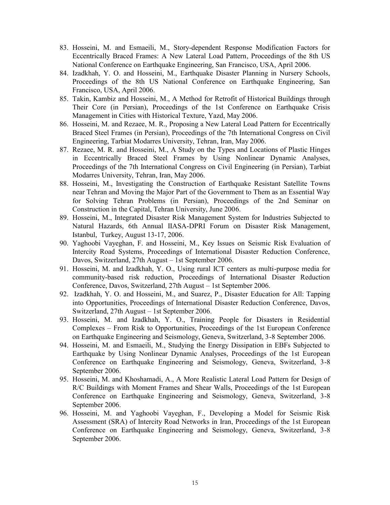- 83. Hosseini, M. and Esmaeili, M., Story-dependent Response Modification Factors for Eccentrically Braced Frames: A New Lateral Load Pattern, Proceedings of the 8th US National Conference on Earthquake Engineering, San Francisco, USA, April 2006.
- 84. Izadkhah, Y. O. and Hosseini, M., Earthquake Disaster Planning in Nursery Schools, Proceedings of the 8th US National Conference on Earthquake Engineering, San Francisco, USA, April 2006.
- 85. Takin, Kambiz and Hosseini, M., A Method for Retrofit of Historical Buildings through Their Core (in Persian), Proceedings of the 1st Conference on Earthquake Crisis Management in Cities with Historical Texture, Yazd, May 2006.
- 86. Hosseini, M. and Rezaee, M. R., Proposing a New Lateral Load Pattern for Eccentrically Braced Steel Frames (in Persian), Proceedings of the 7th International Congress on Civil Engineering, Tarbiat Modarres University, Tehran, Iran, May 2006.
- 87. Rezaee, M. R. and Hosseini, M., A Study on the Types and Locations of Plastic Hinges in Eccentrically Braced Steel Frames by Using Nonlinear Dynamic Analyses, Proceedings of the 7th International Congress on Civil Engineering (in Persian), Tarbiat Modarres University, Tehran, Iran, May 2006.
- 88. Hosseini, M., Investigating the Construction of Earthquake Resistant Satellite Towns near Tehran and Moving the Major Part of the Government to Them as an Essential Way for Solving Tehran Problems (in Persian), Proceedings of the 2nd Seminar on Construction in the Capital, Tehran University, June 2006.
- 89. Hosseini, M., Integrated Disaster Risk Management System for Industries Subjected to Natural Hazards, 6th Annual IIASA-DPRI Forum on Disaster Risk Management, Istanbul, Turkey, August 13-17, 2006.
- 90. Yaghoobi Vayeghan, F. and Hosseini, M., Key Issues on Seismic Risk Evaluation of Intercity Road Systems, Proceedings of International Disaster Reduction Conference, Davos, Switzerland, 27th August – 1st September 2006.
- 91. Hosseini, M. and Izadkhah, Y. O., Using rural ICT centers as multi-purpose media for community-based risk reduction, Proceedings of International Disaster Reduction Conference, Davos, Switzerland, 27th August – 1st September 2006.
- 92. Izadkhah, Y. O. and Hosseini, M., and Suarez, P., Disaster Education for All: Tapping into Opportunities, Proceedings of International Disaster Reduction Conference, Davos, Switzerland, 27th August – 1st September 2006.
- 93. Hosseini, M. and Izadkhah, Y. O., Training People for Disasters in Residential Complexes – From Risk to Opportunities, Proceedings of the 1st European Conference on Earthquake Engineering and Seismology, Geneva, Switzerland, 3-8 September 2006.
- 94. Hosseini, M. and Esmaeili, M., Studying the Energy Dissipation in EBFs Subjected to Earthquake by Using Nonlinear Dynamic Analyses, Proceedings of the 1st European Conference on Earthquake Engineering and Seismology, Geneva, Switzerland, 3-8 September 2006.
- 95. Hosseini, M. and Khoshamadi, A., A More Realistic Lateral Load Pattern for Design of R/C Buildings with Moment Frames and Shear Walls, Proceedings of the 1st European Conference on Earthquake Engineering and Seismology, Geneva, Switzerland, 3-8 September 2006.
- 96. Hosseini, M. and Yaghoobi Vayeghan, F., Developing a Model for Seismic Risk Assessment (SRA) of Intercity Road Networks in Iran, Proceedings of the 1st European Conference on Earthquake Engineering and Seismology, Geneva, Switzerland, 3-8 September 2006.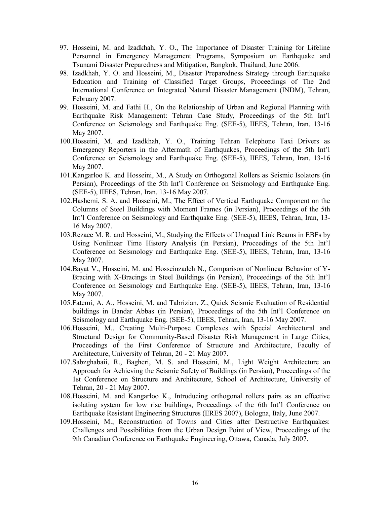- 97. Hosseini, M. and Izadkhah, Y. O., The Importance of Disaster Training for Lifeline Personnel in Emergency Management Programs, Symposium on Earthquake and Tsunami Disaster Preparedness and Mitigation, Bangkok, Thailand, June 2006.
- 98. Izadkhah, Y. O. and Hosseini, M., Disaster Preparedness Strategy through Earthquake Education and Training of Classified Target Groups, Proceedings of The 2nd International Conference on Integrated Natural Disaster Management (INDM), Tehran, February 2007.
- 99. Hosseini, M. and Fathi H., On the Relationship of Urban and Regional Planning with Earthquake Risk Management: Tehran Case Study, Proceedings of the 5th Int'l Conference on Seismology and Earthquake Eng. (SEE-5), IIEES, Tehran, Iran, 13-16 May 2007.
- 100.Hosseini, M. and Izadkhah, Y. O., Training Tehran Telephone Taxi Drivers as Emergency Reporters in the Aftermath of Earthquakes, Proceedings of the 5th Int'l Conference on Seismology and Earthquake Eng. (SEE-5), IIEES, Tehran, Iran, 13-16 May 2007.
- 101.Kangarloo K. and Hosseini, M., A Study on Orthogonal Rollers as Seismic Isolators (in Persian), Proceedings of the 5th Int'l Conference on Seismology and Earthquake Eng. (SEE-5), IIEES, Tehran, Iran, 13-16 May 2007.
- 102.Hashemi, S. A. and Hosseini, M., The Effect of Vertical Earthquake Component on the Columns of Steel Buildings with Moment Frames (in Persian), Proceedings of the 5th Int'l Conference on Seismology and Earthquake Eng. (SEE-5), IIEES, Tehran, Iran, 13- 16 May 2007.
- 103.Rezaee M. R. and Hosseini, M., Studying the Effects of Unequal Link Beams in EBFs by Using Nonlinear Time History Analysis (in Persian), Proceedings of the 5th Int'l Conference on Seismology and Earthquake Eng. (SEE-5), IIEES, Tehran, Iran, 13-16 May 2007.
- 104.Bayat V., Hosseini, M. and Hosseinzadeh N., Comparison of Nonlinear Behavior of Y-Bracing with X-Bracings in Steel Buildings (in Persian), Proceedings of the 5th Int'l Conference on Seismology and Earthquake Eng. (SEE-5), IIEES, Tehran, Iran, 13-16 May 2007.
- 105.Fatemi, A. A., Hosseini, M. and Tabrizian, Z., Quick Seismic Evaluation of Residential buildings in Bandar Abbas (in Persian), Proceedings of the 5th Int'l Conference on Seismology and Earthquake Eng. (SEE-5), IIEES, Tehran, Iran, 13-16 May 2007.
- 106.Hosseini, M., Creating Multi-Purpose Complexes with Special Architectural and Structural Design for Community-Based Disaster Risk Management in Large Cities, Proceedings of the First Conference of Structure and Architecture, Faculty of Architecture, University of Tehran, 20 - 21 May 2007.
- 107.Sabzghabaii, R., Bagheri, M. S. and Hosseini, M., Light Weight Architecture an Approach for Achieving the Seismic Safety of Buildings (in Persian), Proceedings of the 1st Conference on Structure and Architecture, School of Architecture, University of Tehran, 20 - 21 May 2007.
- 108.Hosseini, M. and Kangarloo K., Introducing orthogonal rollers pairs as an effective isolating system for low rise buildings, Proceedings of the 6th Int'l Conference on Earthquake Resistant Engineering Structures (ERES 2007), Bologna, Italy, June 2007.
- 109.Hosseini, M., Reconstruction of Towns and Cities after Destructive Earthquakes: Challenges and Possibilities from the Urban Design Point of View, Proceedings of the 9th Canadian Conference on Earthquake Engineering, Ottawa, Canada, July 2007.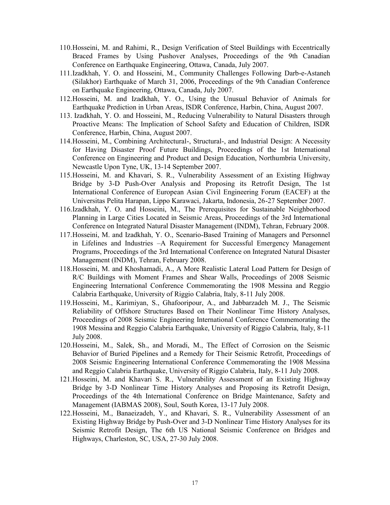- 110.Hosseini, M. and Rahimi, R., Design Verification of Steel Buildings with Eccentrically Braced Frames by Using Pushover Analyses, Proceedings of the 9th Canadian Conference on Earthquake Engineering, Ottawa, Canada, July 2007.
- 111.Izadkhah, Y. O. and Hosseini, M., Community Challenges Following Darb-e-Astaneh (Silakhor) Earthquake of March 31, 2006, Proceedings of the 9th Canadian Conference on Earthquake Engineering, Ottawa, Canada, July 2007.
- 112.Hosseini, M. and Izadkhah, Y. O., Using the Unusual Behavior of Animals for Earthquake Prediction in Urban Areas, ISDR Conference, Harbin, China, August 2007.
- 113. Izadkhah, Y. O. and Hosseini, M., Reducing Vulnerability to Natural Disasters through Proactive Means: The Implication of School Safety and Education of Children, ISDR Conference, Harbin, China, August 2007.
- 114.Hosseini, M., Combining Architectural-, Structural-, and Industrial Design: A Necessity for Having Disaster Proof Future Buildings, Proceedings of the 1st International Conference on Engineering and Product and Design Education, Northumbria University, Newcastle Upon Tyne, UK, 13-14 September 2007.
- 115.Hosseini, M. and Khavari, S. R., Vulnerability Assessment of an Existing Highway Bridge by 3-D Push-Over Analysis and Proposing its Retrofit Design, The 1st International Conference of European Asian Civil Engineering Forum (EACEF) at the Universitas Pelita Harapan, Lippo Karawaci, Jakarta, Indonesia, 26-27 September 2007.
- 116.Izadkhah, Y. O. and Hosseini, M., The Prerequisites for Sustainable Neighborhood Planning in Large Cities Located in Seismic Areas, Proceedings of the 3rd International Conference on Integrated Natural Disaster Management (INDM), Tehran, February 2008.
- 117.Hosseini, M. and Izadkhah, Y. O., Scenario-Based Training of Managers and Personnel in Lifelines and Industries –A Requirement for Successful Emergency Management Programs, Proceedings of the 3rd International Conference on Integrated Natural Disaster Management (INDM), Tehran, February 2008.
- 118.Hosseini, M. and Khoshamadi, A., A More Realistic Lateral Load Pattern for Design of R/C Buildings with Moment Frames and Shear Walls, Proceedings of 2008 Seismic Engineering International Conference Commemorating the 1908 Messina and Reggio Calabria Earthquake, University of Riggio Calabria, Italy, 8-11 July 2008.
- 119.Hosseini, M., Karimiyan, S., Ghafooripour, A., and Jabbarzadeh M. J., The Seismic Reliability of Offshore Structures Based on Their Nonlinear Time History Analyses, Proceedings of 2008 Seismic Engineering International Conference Commemorating the 1908 Messina and Reggio Calabria Earthquake, University of Riggio Calabria, Italy, 8-11 July 2008.
- 120.Hosseini, M., Salek, Sh., and Moradi, M., The Effect of Corrosion on the Seismic Behavior of Buried Pipelines and a Remedy for Their Seismic Retrofit, Proceedings of 2008 Seismic Engineering International Conference Commemorating the 1908 Messina and Reggio Calabria Earthquake, University of Riggio Calabria, Italy, 8-11 July 2008.
- 121.Hosseini, M. and Khavari S. R., Vulnerability Assessment of an Existing Highway Bridge by 3-D Nonlinear Time History Analyses and Proposing its Retrofit Design, Proceedings of the 4th International Conference on Bridge Maintenance, Safety and Management (IABMAS 2008), Soul, South Korea, 13-17 July 2008.
- 122.Hosseini, M., Banaeizadeh, Y., and Khavari, S. R., Vulnerability Assessment of an Existing Highway Bridge by Push-Over and 3-D Nonlinear Time History Analyses for its Seismic Retrofit Design, The 6th US National Seismic Conference on Bridges and Highways, Charleston, SC, USA, 27-30 July 2008.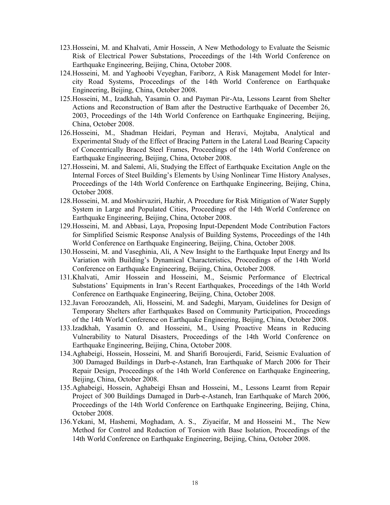- 123.Hosseini, M. and Khalvati, Amir Hossein, A New Methodology to Evaluate the Seismic Risk of Electrical Power Substations, Proceedings of the 14th World Conference on Earthquake Engineering, Beijing, China, October 2008.
- 124.Hosseini, M. and Yaghoobi Veyeghan, Fariborz, A Risk Management Model for Intercity Road Systems, Proceedings of the 14th World Conference on Earthquake Engineering, Beijing, China, October 2008.
- 125.Hosseini, M., Izadkhah, Yasamin O. and Payman Pir-Ata, Lessons Learnt from Shelter Actions and Reconstruction of Bam after the Destructive Earthquake of December 26, 2003, Proceedings of the 14th World Conference on Earthquake Engineering, Beijing, China, October 2008.
- 126.Hosseini, M., Shadman Heidari, Peyman and Heravi, Mojtaba, Analytical and Experimental Study of the Effect of Bracing Pattern in the Lateral Load Bearing Capacity of Concentrically Braced Steel Frames, Proceedings of the 14th World Conference on Earthquake Engineering, Beijing, China, October 2008.
- 127.Hosseini, M. and Salemi, Ali, Studying the Effect of Earthquake Excitation Angle on the Internal Forces of Steel Building's Elements by Using Nonlinear Time History Analyses, Proceedings of the 14th World Conference on Earthquake Engineering, Beijing, China, October 2008.
- 128.Hosseini, M. and Moshirvaziri, Hazhir, A Procedure for Risk Mitigation of Water Supply System in Large and Populated Cities, Proceedings of the 14th World Conference on Earthquake Engineering, Beijing, China, October 2008.
- 129.Hosseini, M. and Abbasi, Laya, Proposing Input-Dependent Mode Contribution Factors for Simplified Seismic Response Analysis of Building Systems, Proceedings of the 14th World Conference on Earthquake Engineering, Beijing, China, October 2008.
- 130.Hosseini, M. and Vaseghinia, Ali, A New Insight to the Earthquake Input Energy and Its Variation with Building's Dynamical Characteristics, Proceedings of the 14th World Conference on Earthquake Engineering, Beijing, China, October 2008.
- 131.Khalvati, Amir Hossein and Hosseini, M., Seismic Performance of Electrical Substations' Equipments in Iran's Recent Earthquakes, Proceedings of the 14th World Conference on Earthquake Engineering, Beijing, China, October 2008.
- 132.Javan Foroozandeh, Ali, Hosseini, M. and Sadeghi, Maryam, Guidelines for Design of Temporary Shelters after Earthquakes Based on Community Participation, Proceedings of the 14th World Conference on Earthquake Engineering, Beijing, China, October 2008.
- 133.Izadkhah, Yasamin O. and Hosseini, M., Using Proactive Means in Reducing Vulnerability to Natural Disasters, Proceedings of the 14th World Conference on Earthquake Engineering, Beijing, China, October 2008.
- 134.Aghabeigi, Hossein, Hosseini, M. and Sharifi Boroujerdi, Farid, Seismic Evaluation of 300 Damaged Buildings in Darb-e-Astaneh, Iran Earthquake of March 2006 for Their Repair Design, Proceedings of the 14th World Conference on Earthquake Engineering, Beijing, China, October 2008.
- 135.Aghabeigi, Hossein, Aghabeigi Ehsan and Hosseini, M., Lessons Learnt from Repair Project of 300 Buildings Damaged in Darb-e-Astaneh, Iran Earthquake of March 2006, Proceedings of the 14th World Conference on Earthquake Engineering, Beijing, China, October 2008.
- 136.Yekani, M, Hashemi, Moghadam, A. S., Ziyaeifar, M and Hosseini M., The New Method for Control and Reduction of Torsion with Base Isolation, Proceedings of the 14th World Conference on Earthquake Engineering, Beijing, China, October 2008.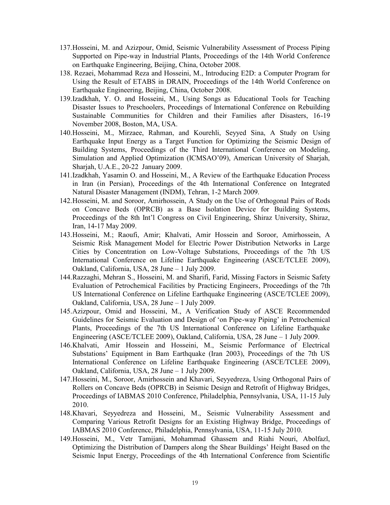- 137.Hosseini, M. and Azizpour, Omid, Seismic Vulnerability Assessment of Process Piping Supported on Pipe-way in Industrial Plants, Proceedings of the 14th World Conference on Earthquake Engineering, Beijing, China, October 2008.
- 138. Rezaei, Mohammad Reza and Hosseini, M., Introducing E2D: a Computer Program for Using the Result of ETABS in DRAIN, Proceedings of the 14th World Conference on Earthquake Engineering, Beijing, China, October 2008.
- 139.Izadkhah, Y. O. and Hosseini, M., Using Songs as Educational Tools for Teaching Disaster Issues to Preschoolers, Proceedings of International Conference on Rebuilding Sustainable Communities for Children and their Families after Disasters, 16-19 November 2008, Boston, MA, USA.
- 140.Hosseini, M., Mirzaee, Rahman, and Kourehli, Seyyed Sina, A Study on Using Earthquake Input Energy as a Target Function for Optimizing the Seismic Design of Building Systems, Proceedings of the Third International Conference on Modeling, Simulation and Applied Optimization (ICMSAO'09), American University of Sharjah, Sharjah, U.A.E., 20-22 January 2009.
- 141.Izadkhah, Yasamin O. and Hosseini, M., A Review of the Earthquake Education Process in Iran (in Persian), Proceedings of the 4th International Conference on Integrated Natural Disaster Management (INDM), Tehran, 1-2 March 2009.
- 142.Hosseini, M. and Soroor, Amirhossein, A Study on the Use of Orthogonal Pairs of Rods on Concave Beds (OPRCB) as a Base Isolation Device for Building Systems, Proceedings of the 8th Int'l Congress on Civil Engineering, Shiraz University, Shiraz, Iran, 14-17 May 2009.
- 143.Hosseini, M.; Raoufi, Amir; Khalvati, Amir Hossein and Soroor, Amirhossein, A Seismic Risk Management Model for Electric Power Distribution Networks in Large Cities by Concentration on Low-Voltage Substations, Proceedings of the 7th US International Conference on Lifeline Earthquake Engineering (ASCE/TCLEE 2009), Oakland, California, USA, 28 June – 1 July 2009.
- 144.Razzaghi, Mehran S., Hosseini, M. and Sharifi, Farid, Missing Factors in Seismic Safety Evaluation of Petrochemical Facilities by Practicing Engineers, Proceedings of the 7th US International Conference on Lifeline Earthquake Engineering (ASCE/TCLEE 2009), Oakland, California, USA, 28 June – 1 July 2009.
- 145.Azizpour, Omid and Hosseini, M., A Verification Study of ASCE Recommended Guidelines for Seismic Evaluation and Design of 'on Pipe-way Piping' in Petrochemical Plants, Proceedings of the 7th US International Conference on Lifeline Earthquake Engineering (ASCE/TCLEE 2009), Oakland, California, USA, 28 June – 1 July 2009.
- 146.Khalvati, Amir Hossein and Hosseini, M., Seismic Performance of Electrical Substations' Equipment in Bam Earthquake (Iran 2003), Proceedings of the 7th US International Conference on Lifeline Earthquake Engineering (ASCE/TCLEE 2009), Oakland, California, USA, 28 June – 1 July 2009.
- 147.Hosseini, M., Soroor, Amirhossein and Khavari, Seyyedreza, Using Orthogonal Pairs of Rollers on Concave Beds (OPRCB) in Seismic Design and Retrofit of Highway Bridges, Proceedings of IABMAS 2010 Conference, Philadelphia, Pennsylvania, USA, 11-15 July 2010.
- 148.Khavari, Seyyedreza and Hosseini, M., Seismic Vulnerability Assessment and Comparing Various Retrofit Designs for an Existing Highway Bridge, Proceedings of IABMAS 2010 Conference, Philadelphia, Pennsylvania, USA, 11-15 July 2010.
- 149.Hosseini, M., Vetr Tamijani, Mohammad Ghassem and Riahi Nouri, Abolfazl, Optimizing the Distribution of Dampers along the Shear Buildings' Height Based on the Seismic Input Energy, Proceedings of the 4th International Conference from Scientific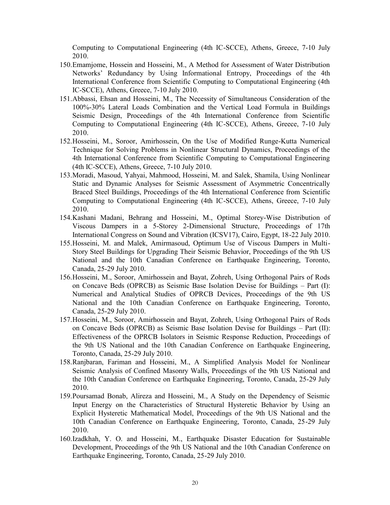Computing to Computational Engineering (4th IC-SCCE), Athens, Greece, 7-10 July 2010.

- 150.Emamjome, Hossein and Hosseini, M., A Method for Assessment of Water Distribution Networks' Redundancy by Using Informational Entropy, Proceedings of the 4th International Conference from Scientific Computing to Computational Engineering (4th IC-SCCE), Athens, Greece, 7-10 July 2010.
- 151.Abbassi, Ehsan and Hosseini, M., The Necessity of Simultaneous Consideration of the 100%-30% Lateral Loads Combination and the Vertical Load Formula in Buildings Seismic Design, Proceedings of the 4th International Conference from Scientific Computing to Computational Engineering (4th IC-SCCE), Athens, Greece, 7-10 July 2010.
- 152.Hosseini, M., Soroor, Amirhossein, On the Use of Modified Runge-Kutta Numerical Technique for Solving Problems in Nonlinear Structural Dynamics, Proceedings of the 4th International Conference from Scientific Computing to Computational Engineering (4th IC-SCCE), Athens, Greece, 7-10 July 2010.
- 153.Moradi, Masoud, Yahyai, Mahmood, Hosseini, M. and Salek, Shamila, Using Nonlinear Static and Dynamic Analyses for Seismic Assessment of Asymmetric Concentrically Braced Steel Buildings, Proceedings of the 4th International Conference from Scientific Computing to Computational Engineering (4th IC-SCCE), Athens, Greece, 7-10 July 2010.
- 154.Kashani Madani, Behrang and Hosseini, M., Optimal Storey-Wise Distribution of Viscous Dampers in a 5-Storey 2-Dimensional Structure, Proceedings of 17th International Congress on Sound and Vibration (ICSV17), Cairo, Egypt, 18-22 July 2010.
- 155.Hosseini, M. and Malek, Amirmasoud, Optimum Use of Viscous Dampers in Multi-Story Steel Buildings for Upgrading Their Seismic Behavior, Proceedings of the 9th US National and the 10th Canadian Conference on Earthquake Engineering, Toronto, Canada, 25-29 July 2010.
- 156.Hosseini, M., Soroor, Amirhossein and Bayat, Zohreh, Using Orthogonal Pairs of Rods on Concave Beds (OPRCB) as Seismic Base Isolation Devise for Buildings – Part (I): Numerical and Analytical Studies of OPRCB Devices, Proceedings of the 9th US National and the 10th Canadian Conference on Earthquake Engineering, Toronto, Canada, 25-29 July 2010.
- 157.Hosseini, M., Soroor, Amirhossein and Bayat, Zohreh, Using Orthogonal Pairs of Rods on Concave Beds (OPRCB) as Seismic Base Isolation Devise for Buildings – Part (II): Effectiveness of the OPRCB Isolators in Seismic Response Reduction, Proceedings of the 9th US National and the 10th Canadian Conference on Earthquake Engineering, Toronto, Canada, 25-29 July 2010.
- 158.Ranjbaran, Fariman and Hosseini, M., A Simplified Analysis Model for Nonlinear Seismic Analysis of Confined Masonry Walls, Proceedings of the 9th US National and the 10th Canadian Conference on Earthquake Engineering, Toronto, Canada, 25-29 July 2010.
- 159.Poursamad Bonab, Alireza and Hosseini, M., A Study on the Dependency of Seismic Input Energy on the Characteristics of Structural Hysteretic Behavior by Using an Explicit Hysteretic Mathematical Model, Proceedings of the 9th US National and the 10th Canadian Conference on Earthquake Engineering, Toronto, Canada, 25-29 July 2010.
- 160.Izadkhah, Y. O. and Hosseini, M., Earthquake Disaster Education for Sustainable Development, Proceedings of the 9th US National and the 10th Canadian Conference on Earthquake Engineering, Toronto, Canada, 25-29 July 2010.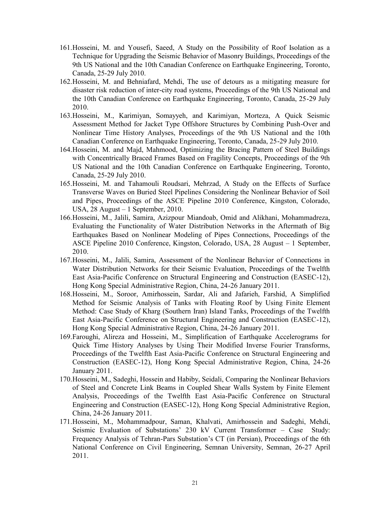- 161.Hosseini, M. and Yousefi, Saeed, A Study on the Possibility of Roof Isolation as a Technique for Upgrading the Seismic Behavior of Masonry Buildings, Proceedings of the 9th US National and the 10th Canadian Conference on Earthquake Engineering, Toronto, Canada, 25-29 July 2010.
- 162.Hosseini, M. and Behniafard, Mehdi, The use of detours as a mitigating measure for disaster risk reduction of inter-city road systems, Proceedings of the 9th US National and the 10th Canadian Conference on Earthquake Engineering, Toronto, Canada, 25-29 July 2010.
- 163.Hosseini, M., Karimiyan, Somayyeh, and Karimiyan, Morteza, A Quick Seismic Assessment Method for Jacket Type Offshore Structures by Combining Push-Over and Nonlinear Time History Analyses, Proceedings of the 9th US National and the 10th Canadian Conference on Earthquake Engineering, Toronto, Canada, 25-29 July 2010.
- 164.Hosseini, M. and Majd, Mahmood, Optimizing the Bracing Pattern of Steel Buildings with Concentrically Braced Frames Based on Fragility Concepts, Proceedings of the 9th US National and the 10th Canadian Conference on Earthquake Engineering, Toronto, Canada, 25-29 July 2010.
- 165.Hosseini, M. and Tahamouli Roudsari, Mehrzad, A Study on the Effects of Surface Transverse Waves on Buried Steel Pipelines Considering the Nonlinear Behavior of Soil and Pipes, Proceedings of the ASCE Pipeline 2010 Conference, Kingston, Colorado, USA, 28 August – 1 September, 2010.
- 166.Hosseini, M., Jalili, Samira, Azizpour Miandoab, Omid and Alikhani, Mohammadreza, Evaluating the Functionality of Water Distribution Networks in the Aftermath of Big Earthquakes Based on Nonlinear Modeling of Pipes Connections, Proceedings of the ASCE Pipeline 2010 Conference, Kingston, Colorado, USA, 28 August – 1 September, 2010.
- 167.Hosseini, M., Jalili, Samira, Assessment of the Nonlinear Behavior of Connections in Water Distribution Networks for their Seismic Evaluation, Proceedings of the Twelfth East Asia-Pacific Conference on Structural Engineering and Construction (EASEC-12), Hong Kong Special Administrative Region, China, 24-26 January 2011.
- 168.Hosseini, M., Soroor, Amirhossein, Sardar, Ali and Jafarieh, Farshid, A Simplified Method for Seismic Analysis of Tanks with Floating Roof by Using Finite Element Method: Case Study of Kharg (Southern Iran) Island Tanks, Proceedings of the Twelfth East Asia-Pacific Conference on Structural Engineering and Construction (EASEC-12), Hong Kong Special Administrative Region, China, 24-26 January 2011.
- 169.Faroughi, Alireza and Hosseini, M., Simplification of Earthquake Accelerograms for Quick Time History Analyses by Using Their Modified Inverse Fourier Transforms, Proceedings of the Twelfth East Asia-Pacific Conference on Structural Engineering and Construction (EASEC-12), Hong Kong Special Administrative Region, China, 24-26 January 2011.
- 170.Hosseini, M., Sadeghi, Hossein and Habiby, Seidali, Comparing the Nonlinear Behaviors of Steel and Concrete Link Beams in Coupled Shear Walls System by Finite Element Analysis, Proceedings of the Twelfth East Asia-Pacific Conference on Structural Engineering and Construction (EASEC-12), Hong Kong Special Administrative Region, China, 24-26 January 2011.
- 171.Hosseini, M., Mohammadpour, Saman, Khalvati, Amirhossein and Sadeghi, Mehdi, Seismic Evaluation of Substations' 230 kV Current Transformer – Case Study: Frequency Analysis of Tehran-Pars Substation's CT (in Persian), Proceedings of the 6th National Conference on Civil Engineering, Semnan University, Semnan, 26-27 April 2011.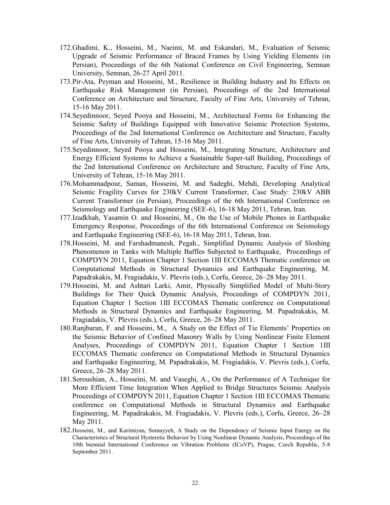- 172.Ghadimi, K., Hosseini, M., Naeimi, M. and Eskandari, M., Evaluation of Seismic Upgrade of Seismic Performance of Braced Frames by Using Yielding Elements (in Persian), Proceedings of the 6th National Conference on Civil Engineering, Semnan University, Semnan, 26-27 April 2011.
- 173.Pir-Ata, Peyman and Hosseini, M., Resilience in Building Industry and Its Effects on Earthquake Risk Management (in Persian), Proceedings of the 2nd International Conference on Architecture and Structure, Faculty of Fine Arts, University of Tehran, 15-16 May 2011.
- 174.Seyedinnoor, Seyed Pooya and Hosseini, M., Architectural Forms for Enhancing the Seismic Safety of Buildings Equipped with Innovative Seismic Protection Systems, Proceedings of the 2nd International Conference on Architecture and Structure, Faculty of Fine Arts, University of Tehran, 15-16 May 2011.
- 175.Seyedinnoor, Seyed Pooya and Hosseini, M., Integrating Structure, Architecture and Energy Efficient Systems to Achieve a Sustainable Super-tall Building, Proceedings of the 2nd International Conference on Architecture and Structure, Faculty of Fine Arts, University of Tehran, 15-16 May 2011.
- 176.Mohammadpour, Saman, Hosseini, M. and Sadeghi, Mehdi, Developing Analytical Seismic Fragility Curves for 230kV Current Transformer, Case Study: 230kV ABB Current Transformer (in Persian), Proceedings of the 6th International Conference on Seismology and Earthquake Engineering (SEE-6), 16-18 May 2011, Tehran, Iran.
- 177.Izadkhah, Yasamin O. and Hosseini, M., On the Use of Mobile Phones in Earthquake Emergency Response, Proceedings of the 6th International Conference on Seismology and Earthquake Engineering (SEE-6), 16-18 May 2011, Tehran, Iran.
- 178.Hosseini, M. and Farshadmanesh, Pegah., Simplified Dynamic Analysis of Sloshing Phenomenon in Tanks with Multiple Baffles Subjected to Earthquake, Proceedings of COMPDYN 2011, Equation Chapter 1 Section 1III ECCOMAS Thematic conference on Computational Methods in Structural Dynamics and Earthquake Engineering, M. Papadrakakis, M. Fragiadakis, V. Plevris (eds.), Corfu, Greece, 26–28 May 2011.
- 179.Hosseini, M. and Ashtari Larki, Amir, Physically Simplified Model of Multi-Story Buildings for Their Quick Dynamic Analysis, Proceedings of COMPDYN 2011, Equation Chapter 1 Section 1III ECCOMAS Thematic conference on Computational Methods in Structural Dynamics and Earthquake Engineering, M. Papadrakakis, M. Fragiadakis, V. Plevris (eds.), Corfu, Greece, 26–28 May 2011.
- 180.Ranjbaran, F. and Hosseini, M., A Study on the Effect of Tie Elements' Properties on the Seismic Behavior of Confined Masonry Walls by Using Nonlinear Finite Element Analyses, Proceedings of COMPDYN 2011, Equation Chapter 1 Section 1III ECCOMAS Thematic conference on Computational Methods in Structural Dynamics and Earthquake Engineering, M. Papadrakakis, M. Fragiadakis, V. Plevris (eds.), Corfu, Greece, 26–28 May 2011.
- 181.Soroushian, A., Hosseini, M. and Vaseghi, A., On the Performance of A Technique for More Efficient Time Integration When Applied to Bridge Structures Seismic Analysis Proceedings of COMPDYN 2011, Equation Chapter 1 Section 1III ECCOMAS Thematic conference on Computational Methods in Structural Dynamics and Earthquake Engineering, M. Papadrakakis, M. Fragiadakis, V. Plevris (eds.), Corfu, Greece, 26–28 May 2011.
- 182.Hosseini, M., and Karimiyan, Somayyeh, A Study on the Dependency of Seismic Input Energy on the Characteristics of Structural Hysteretic Behavior by Using Nonlinear Dynamic Analysis, Proceedings of the 10th biennial International Conference on Vibration Problems (ICoVP), Prague, Czech Republic, 5-8 September 2011.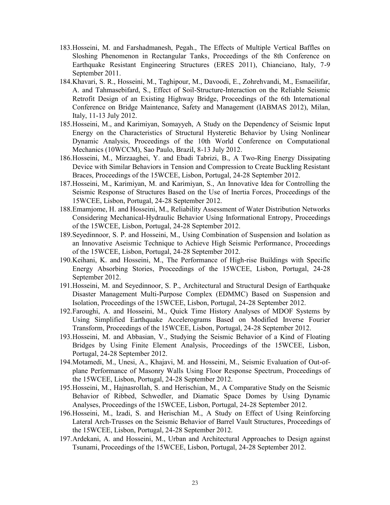- 183.Hosseini, M. and Farshadmanesh, Pegah., The Effects of Multiple Vertical Baffles on Sloshing Phenomenon in Rectangular Tanks, Proceedings of the 8th Conference on Earthquake Resistant Engineering Structures (ERES 2011), Chianciano, Italy, 7-9 September 2011.
- 184.Khavari, S. R., Hosseini, M., Taghipour, M., Davoodi, E., Zohrehvandi, M., Esmaeilifar, A. and Tahmasebifard, S., Effect of Soil-Structure-Interaction on the Reliable Seismic Retrofit Design of an Existing Highway Bridge, Proceedings of the 6th International Conference on Bridge Maintenance, Safety and Management (IABMAS 2012), Milan, Italy, 11-13 July 2012.
- 185.Hosseini, M., and Karimiyan, Somayyeh, A Study on the Dependency of Seismic Input Energy on the Characteristics of Structural Hysteretic Behavior by Using Nonlinear Dynamic Analysis, Proceedings of the 10th World Conference on Computational Mechanics (10WCCM), Sao Paulo, Brazil, 8-13 July 2012.
- 186.Hosseini, M., Mirzaaghei, Y. and Ebadi Tabrizi, B., A Two-Ring Energy Dissipating Device with Similar Behaviors in Tension and Compression to Create Buckling Resistant Braces, Proceedings of the 15WCEE, Lisbon, Portugal, 24-28 September 2012.
- 187.Hosseini, M., Karimiyan, M. and Karimiyan, S., An Innovative Idea for Controlling the Seismic Response of Structures Based on the Use of Inertia Forces, Proceedings of the 15WCEE, Lisbon, Portugal, 24-28 September 2012.
- 188.Emamjome, H. and Hosseini, M., Reliability Assessment of Water Distribution Networks Considering Mechanical-Hydraulic Behavior Using Informational Entropy, Proceedings of the 15WCEE, Lisbon, Portugal, 24-28 September 2012.
- 189.Seyedinnoor, S. P. and Hosseini, M., Using Combination of Suspension and Isolation as an Innovative Aseismic Technique to Achieve High Seismic Performance, Proceedings of the 15WCEE, Lisbon, Portugal, 24-28 September 2012.
- 190.Keihani, K. and Hosseini, M., The Performance of High-rise Buildings with Specific Energy Absorbing Stories, Proceedings of the 15WCEE, Lisbon, Portugal, 24-28 September 2012.
- 191.Hosseini, M. and Seyedinnoor, S. P., Architectural and Structural Design of Earthquake Disaster Management Multi-Purpose Complex (EDMMC) Based on Suspension and Isolation, Proceedings of the 15WCEE, Lisbon, Portugal, 24-28 September 2012.
- 192.Faroughi, A. and Hosseini, M., Quick Time History Analyses of MDOF Systems by Using Simplified Earthquake Accelerograms Based on Modified Inverse Fourier Transform, Proceedings of the 15WCEE, Lisbon, Portugal, 24-28 September 2012.
- 193.Hosseini, M. and Abbasian, V., Studying the Seismic Behavior of a Kind of Floating Bridges by Using Finite Element Analysis, Proceedings of the 15WCEE, Lisbon, Portugal, 24-28 September 2012.
- 194.Motamedi, M., Unesi, A., Khajavi, M. and Hosseini, M., Seismic Evaluation of Out-ofplane Performance of Masonry Walls Using Floor Response Spectrum, Proceedings of the 15WCEE, Lisbon, Portugal, 24-28 September 2012.
- 195.Hosseini, M., Hajnasrollah, S. and Herischian, M., A Comparative Study on the Seismic Behavior of Ribbed, Schwedler, and Diamatic Space Domes by Using Dynamic Analyses, Proceedings of the 15WCEE, Lisbon, Portugal, 24-28 September 2012.
- 196.Hosseini, M., Izadi, S. and Herischian M., A Study on Effect of Using Reinforcing Lateral Arch-Trusses on the Seismic Behavior of Barrel Vault Structures, Proceedings of the 15WCEE, Lisbon, Portugal, 24-28 September 2012.
- 197.Ardekani, A. and Hosseini, M., Urban and Architectural Approaches to Design against Tsunami, Proceedings of the 15WCEE, Lisbon, Portugal, 24-28 September 2012.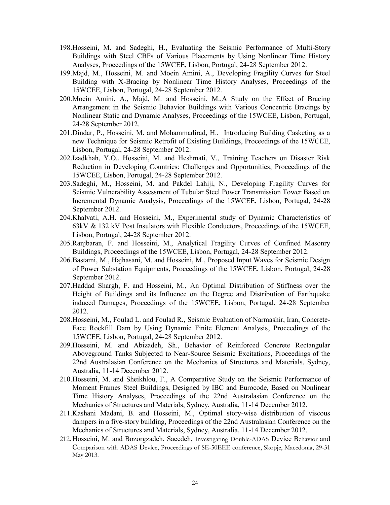- 198.Hosseini, M. and Sadeghi, H., Evaluating the Seismic Performance of Multi-Story Buildings with Steel CBFs of Various Placements by Using Nonlinear Time History Analyses, Proceedings of the 15WCEE, Lisbon, Portugal, 24-28 September 2012.
- 199.Majd, M., Hosseini, M. and Moein Amini, A., Developing Fragility Curves for Steel Building with X-Bracing by Nonlinear Time History Analyses, Proceedings of the 15WCEE, Lisbon, Portugal, 24-28 September 2012.
- 200.Moein Amini, A., Majd, M. and Hosseini, M.,A Study on the Effect of Bracing Arrangement in the Seismic Behavior Buildings with Various Concentric Bracings by Nonlinear Static and Dynamic Analyses, Proceedings of the 15WCEE, Lisbon, Portugal, 24-28 September 2012.
- 201.Dindar, P., Hosseini, M. and Mohammadirad, H., Introducing Building Casketing as a new Technique for Seismic Retrofit of Existing Buildings, Proceedings of the 15WCEE, Lisbon, Portugal, 24-28 September 2012.
- 202.Izadkhah, Y.O., Hosseini, M. and Heshmati, V., Training Teachers on Disaster Risk Reduction in Developing Countries: Challenges and Opportunities, Proceedings of the 15WCEE, Lisbon, Portugal, 24-28 September 2012.
- 203.Sadeghi, M., Hosseini, M. and Pakdel Lahiji, N., Developing Fragility Curves for Seismic Vulnerability Assessment of Tubular Steel Power Transmission Tower Based on Incremental Dynamic Analysis, Proceedings of the 15WCEE, Lisbon, Portugal, 24-28 September 2012.
- 204.Khalvati, A.H. and Hosseini, M., Experimental study of Dynamic Characteristics of 63kV & 132 kV Post Insulators with Flexible Conductors, Proceedings of the 15WCEE, Lisbon, Portugal, 24-28 September 2012.
- 205.Ranjbaran, F. and Hosseini, M., Analytical Fragility Curves of Confined Masonry Buildings, Proceedings of the 15WCEE, Lisbon, Portugal, 24-28 September 2012.
- 206.Bastami, M., Hajhasani, M. and Hosseini, M., Proposed Input Waves for Seismic Design of Power Substation Equipments, Proceedings of the 15WCEE, Lisbon, Portugal, 24-28 September 2012.
- 207.Haddad Shargh, F. and Hosseini, M., An Optimal Distribution of Stiffness over the Height of Buildings and its Influence on the Degree and Distribution of Earthquake induced Damages, Proceedings of the 15WCEE, Lisbon, Portugal, 24-28 September 2012.
- 208.Hosseini, M., Foulad L. and Foulad R., Seismic Evaluation of Narmashir, Iran, Concrete-Face Rockfill Dam by Using Dynamic Finite Element Analysis, Proceedings of the 15WCEE, Lisbon, Portugal, 24-28 September 2012.
- 209.Hosseini, M. and Abizadeh, Sh., Behavior of Reinforced Concrete Rectangular Aboveground Tanks Subjected to Near-Source Seismic Excitations, Proceedings of the 22nd Australasian Conference on the Mechanics of Structures and Materials, Sydney, Australia, 11-14 December 2012.
- 210.Hosseini, M. and Sheikhlou, F., A Comparative Study on the Seismic Performance of Moment Frames Steel Buildings, Designed by IBC and Eurocode, Based on Nonlinear Time History Analyses, Proceedings of the 22nd Australasian Conference on the Mechanics of Structures and Materials, Sydney, Australia, 11-14 December 2012.
- 211.Kashani Madani, B. and Hosseini, M., Optimal story-wise distribution of viscous dampers in a five-story building, Proceedings of the 22nd Australasian Conference on the Mechanics of Structures and Materials, Sydney, Australia, 11-14 December 2012.
- 212. Hosseini, M. and Bozorgzadeh, Saeedeh, Investigating Double-ADAS Device Behavior and Comparison with ADAS Device, Proceedings of SE-50EEE conference, Skopje, Macedonia, 29-31 May 2013.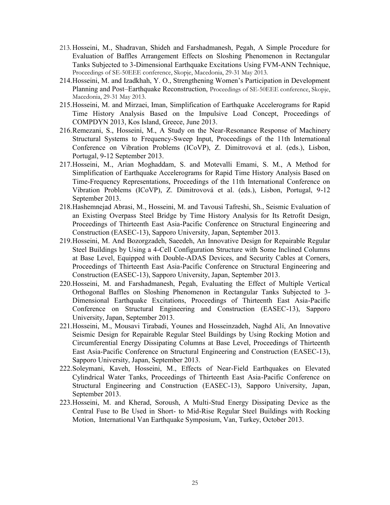- 213. Hosseini, M., Shadravan, Shideh and Farshadmanesh, Pegah, A Simple Procedure for Evaluation of Baffles Arrangement Effects on Sloshing Phenomenon in Rectangular Tanks Subjected to 3-Dimensional Earthquake Excitations Using FVM-ANN Technique, Proceedings of SE-50EEE conference, Skopje, Macedonia, 29-31 May 2013.
- 214.Hosseini, M. and Izadkhah, Y. O., Strengthening Women's Participation in Development Planning and Post–Earthquake Reconstruction, Proceedings of SE-50EEE conference, Skopje, Macedonia, 29-31 May 2013.
- 215.Hosseini, M. and Mirzaei, Iman, Simplification of Earthquake Accelerograms for Rapid Time History Analysis Based on the Impulsive Load Concept, Proceedings of COMPDYN 2013, Kos Island, Greece, June 2013.
- 216.Remezani, S., Hosseini, M., A Study on the Near-Resonance Response of Machinery Structural Systems to Frequency-Sweep Input, Proceedings of the 11th International Conference on Vibration Problems (ICoVP), Z. Dimitrovová et al. (eds.), Lisbon, Portugal, 9-12 September 2013.
- 217.Hosseini, M., Arian Moghaddam, S. and Motevalli Emami, S. M., A Method for Simplification of Earthquake Accelerograms for Rapid Time History Analysis Based on Time-Frequency Representations, Proceedings of the 11th International Conference on Vibration Problems (ICoVP), Z. Dimitrovová et al. (eds.), Lisbon, Portugal, 9-12 September 2013.
- 218.Hashemnejad Abrasi, M., Hosseini, M. and Tavousi Tafreshi, Sh., Seismic Evaluation of an Existing Overpass Steel Bridge by Time History Analysis for Its Retrofit Design, Proceedings of Thirteenth East Asia-Pacific Conference on Structural Engineering and Construction (EASEC-13), Sapporo University, Japan, September 2013.
- 219.Hosseini, M. And Bozorgzadeh, Saeedeh, An Innovative Design for Repairable Regular Steel Buildings by Using a 4-Cell Configuration Structure with Some Inclined Columns at Base Level, Equipped with Double-ADAS Devices, and Security Cables at Corners, Proceedings of Thirteenth East Asia-Pacific Conference on Structural Engineering and Construction (EASEC-13), Sapporo University, Japan, September 2013.
- 220.Hosseini, M. and Farshadmanesh, Pegah, Evaluating the Effect of Multiple Vertical Orthogonal Baffles on Sloshing Phenomenon in Rectangular Tanks Subjected to 3- Dimensional Earthquake Excitations, Proceedings of Thirteenth East Asia-Pacific Conference on Structural Engineering and Construction (EASEC-13), Sapporo University, Japan, September 2013.
- 221.Hosseini, M., Mousavi Tirabadi, Younes and Hosseinzadeh, Naghd Ali, An Innovative Seismic Design for Repairable Regular Steel Buildings by Using Rocking Motion and Circumferential Energy Dissipating Columns at Base Level, Proceedings of Thirteenth East Asia-Pacific Conference on Structural Engineering and Construction (EASEC-13), Sapporo University, Japan, September 2013.
- 222.Soleymani, Kaveh, Hosseini, M., Effects of Near-Field Earthquakes on Elevated Cylindrical Water Tanks, Proceedings of Thirteenth East Asia-Pacific Conference on Structural Engineering and Construction (EASEC-13), Sapporo University, Japan, September 2013.
- 223.Hosseini, M. and Kherad, Soroush, A Multi-Stud Energy Dissipating Device as the Central Fuse to Be Used in Short- to Mid-Rise Regular Steel Buildings with Rocking Motion, International Van Earthquake Symposium, Van, Turkey, October 2013.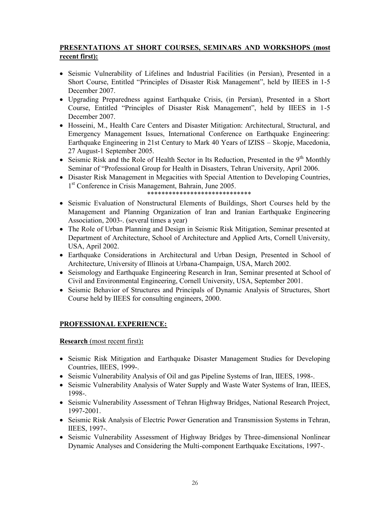## **PRESENTATIONS AT SHORT COURSES, SEMINARS AND WORKSHOPS (most recent first):**

- Seismic Vulnerability of Lifelines and Industrial Facilities (in Persian), Presented in a Short Course, Entitled "Principles of Disaster Risk Management", held by IIEES in 1-5 December 2007.
- Upgrading Preparedness against Earthquake Crisis, (in Persian), Presented in a Short Course, Entitled "Principles of Disaster Risk Management", held by IIEES in 1-5 December 2007.
- Hosseini, M., Health Care Centers and Disaster Mitigation: Architectural, Structural, and Emergency Management Issues, International Conference on Earthquake Engineering: Earthquake Engineering in 21st Century to Mark 40 Years of IZISS – Skopje, Macedonia, 27 August-1 September 2005.
- Seismic Risk and the Role of Health Sector in Its Reduction, Presented in the  $9<sup>th</sup>$  Monthly Seminar of "Professional Group for Health in Disasters, Tehran University, April 2006.
- Disaster Risk Management in Megacities with Special Attention to Developing Countries, 1 st Conference in Crisis Management, Bahrain, June 2005.
	- \*\*\*\*\*\*\*\*\*\*\*\*\*\*\*\*\*\*\*\*\*\*\*\*\*\*\*\*\*
- Seismic Evaluation of Nonstructural Elements of Buildings, Short Courses held by the Management and Planning Organization of Iran and Iranian Earthquake Engineering Association, 2003-. (several times a year)
- The Role of Urban Planning and Design in Seismic Risk Mitigation, Seminar presented at Department of Architecture, School of Architecture and Applied Arts, Cornell University, USA, April 2002.
- Earthquake Considerations in Architectural and Urban Design, Presented in School of Architecture, University of Illinois at Urbana-Champaign, USA, March 2002.
- Seismology and Earthquake Engineering Research in Iran, Seminar presented at School of Civil and Environmental Engineering, Cornell University, USA, September 2001.
- Seismic Behavior of Structures and Principals of Dynamic Analysis of Structures, Short Course held by IIEES for consulting engineers, 2000.

# **PROFESSIONAL EXPERIENCE:**

### **Research** (most recent first)**:**

- Seismic Risk Mitigation and Earthquake Disaster Management Studies for Developing Countries, IIEES, 1999-.
- Seismic Vulnerability Analysis of Oil and gas Pipeline Systems of Iran, IIEES, 1998-.
- Seismic Vulnerability Analysis of Water Supply and Waste Water Systems of Iran, IIEES, 1998-.
- Seismic Vulnerability Assessment of Tehran Highway Bridges, National Research Project, 1997-2001.
- Seismic Risk Analysis of Electric Power Generation and Transmission Systems in Tehran, IIEES, 1997-.
- Seismic Vulnerability Assessment of Highway Bridges by Three-dimensional Nonlinear Dynamic Analyses and Considering the Multi-component Earthquake Excitations, 1997-.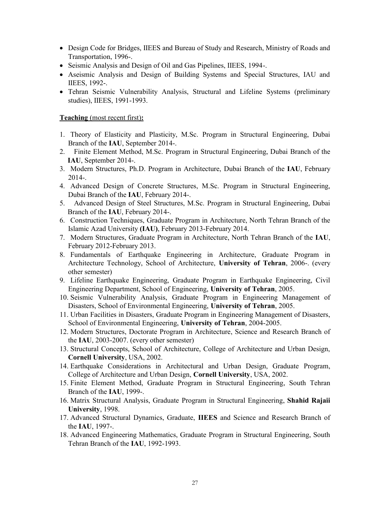- Design Code for Bridges, IIEES and Bureau of Study and Research, Ministry of Roads and Transportation, 1996-.
- Seismic Analysis and Design of Oil and Gas Pipelines, IIEES, 1994-.
- Aseismic Analysis and Design of Building Systems and Special Structures, IAU and IIEES, 1992-.
- Tehran Seismic Vulnerability Analysis, Structural and Lifeline Systems (preliminary studies), IIEES, 1991-1993.

### **Teaching** (most recent first)**:**

- 1. Theory of Elasticity and Plasticity, M.Sc. Program in Structural Engineering, Dubai Branch of the **IAU**, September 2014-.
- 2. Finite Element Method, M.Sc. Program in Structural Engineering, Dubai Branch of the **IAU**, September 2014-.
- 3. Modern Structures, Ph.D. Program in Architecture, Dubai Branch of the **IAU**, February 2014-.
- 4. Advanced Design of Concrete Structures, M.Sc. Program in Structural Engineering, Dubai Branch of the **IAU**, February 2014-.
- 5. Advanced Design of Steel Structures, M.Sc. Program in Structural Engineering, Dubai Branch of the **IAU**, February 2014-.
- 6. Construction Techniques, Graduate Program in Architecture, North Tehran Branch of the Islamic Azad University **(IAU)**, February 2013-February 2014.
- 7. Modern Structures, Graduate Program in Architecture, North Tehran Branch of the **IAU**, February 2012-February 2013.
- 8. Fundamentals of Earthquake Engineering in Architecture, Graduate Program in Architecture Technology, School of Architecture, **University of Tehran**, 2006-. (every other semester)
- 9. Lifeline Earthquake Engineering, Graduate Program in Earthquake Engineering, Civil Engineering Department, School of Engineering, **University of Tehran**, 2005.
- 10. Seismic Vulnerability Analysis, Graduate Program in Engineering Management of Disasters, School of Environmental Engineering, **University of Tehran**, 2005.
- 11. Urban Facilities in Disasters, Graduate Program in Engineering Management of Disasters, School of Environmental Engineering, **University of Tehran**, 2004-2005.
- 12. Modern Structures, Doctorate Program in Architecture, Science and Research Branch of the **IAU**, 2003-2007. (every other semester)
- 13. Structural Concepts, School of Architecture, College of Architecture and Urban Design, **Cornell University**, USA, 2002.
- 14. Earthquake Considerations in Architectural and Urban Design, Graduate Program, College of Architecture and Urban Design, **Cornell University**, USA, 2002.
- 15. Finite Element Method, Graduate Program in Structural Engineering, South Tehran Branch of the **IAU**, 1999-.
- 16. Matrix Structural Analysis, Graduate Program in Structural Engineering, **Shahid Rajaii University**, 1998.
- 17. Advanced Structural Dynamics, Graduate, **IIEES** and Science and Research Branch of the **IAU**, 1997-.
- 18. Advanced Engineering Mathematics, Graduate Program in Structural Engineering, South Tehran Branch of the **IAU**, 1992-1993.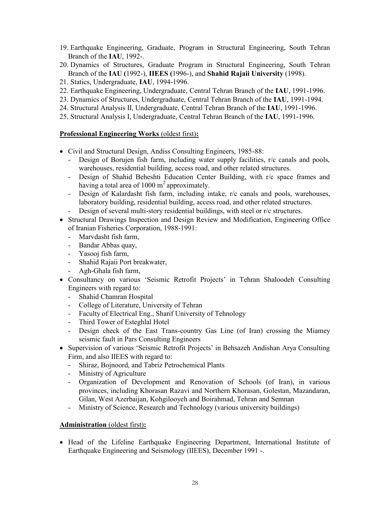- 19. Earthquake Engineering, Graduate, Program in Structural Engineering, South Tehran Branch of the **IAU**, 1992-.
- 20. Dynamics of Structures, Graduate Program in Structural Engineering, South Tehran Branch of the **IAU (**1992-), **IIEES (**1996-), and **Shahid Rajaii University** (1998).
- 21. Statics, Undergraduate, **IAU**, 1994-1996.
- 22. Earthquake Engineering, Undergraduate, Central Tehran Branch of the **IAU**, 1991-1996.
- 23. Dynamics of Structures, Undergraduate, Central Tehran Branch of the **IAU**, 1991-1994.
- 24. Structural Analysis II, Undergraduate, Central Tehran Branch of the **IAU**, 1991-1996.
- 25. Structural Analysis I, Undergraduate, Central Tehran Branch of the **IAU**, 1991-1996.

### **Professional Engineering Works** (oldest first)**:**

- Civil and Structural Design, Andiss Consulting Engineers, 1985-88:
	- Design of Borujen fish farm, including water supply facilities, r/c canals and pools, warehouses, residential building, access road, and other related structures.
	- Design of Shahid Beheshti Education Center Building, with r/c space frames and having a total area of 1000  $m^2$  approximately.
	- Design of Kalardasht fish farm, including intake, r/c canals and pools, warehouses, laboratory building, residential building, access road, and other related structures.
	- Design of several multi-story residential buildings, with steel or r/c structures.
- Structural Drawings Inspection and Design Review and Modification, Engineering Office of Iranian Fisheries Corporation, 1988-1991:
	- Marvdasht fish farm,
	- Bandar Abbas quay,
	- Yasooj fish farm,
	- Shahid Rajaii Port breakwater,
	- Agh-Ghala fish farm,
- Consultancy on various 'Seismic Retrofit Projects' in Tehran Shaloodeh Consulting Engineers with regard to:
	- Shahid Chamran Hospital
	- College of Literature, University of Tehran
	- Faculty of Electrical Eng., Sharif University of Tehnology
	- Third Tower of Esteghlal Hotel
	- Design check of the East Trans-country Gas Line (of Iran) crossing the Miamey seismic fault in Pars Consulting Engineers
- Supervision of various 'Seismic Retrofit Projects' in Behsazeh Andishan Arya Consulting Firm, and also IIEES with regard to:
	- Shiraz, Bojnoord, and Tabriz Petrochemical Plants
	- Ministry of Agriculture
	- Organization of Development and Renovation of Schools (of Iran), in various provinces, including Khorasan Razavi and Northern Khorasan, Golestan, Mazandaran, Gilan, West Azerbaijan, Kohgilooyeh and Boirahmad, Tehran and Semnan
	- Ministry of Science, Research and Technology (various university buildings)

### **Administration** (oldest first)**:**

 Head of the Lifeline Earthquake Engineering Department, International Institute of Earthquake Engineering and Seismology (IIEES), December 1991 -.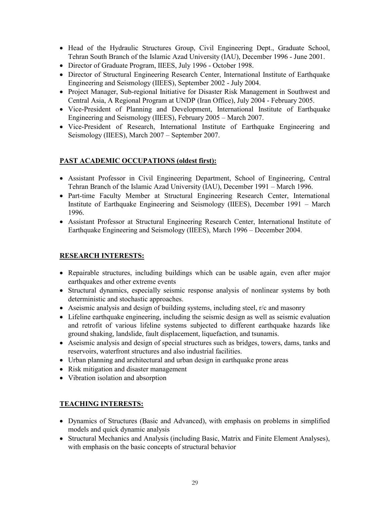- Head of the Hydraulic Structures Group, Civil Engineering Dept., Graduate School, Tehran South Branch of the Islamic Azad University (IAU), December 1996 - June 2001.
- Director of Graduate Program, IIEES, July 1996 October 1998.
- Director of Structural Engineering Research Center, International Institute of Earthquake Engineering and Seismology (IIEES), September 2002 - July 2004.
- Project Manager, Sub-regional Initiative for Disaster Risk Management in Southwest and Central Asia, A Regional Program at UNDP (Iran Office), July 2004 - February 2005.
- Vice-President of Planning and Development, International Institute of Earthquake Engineering and Seismology (IIEES), February 2005 – March 2007.
- Vice-President of Research, International Institute of Earthquake Engineering and Seismology (IIEES), March 2007 – September 2007.

## **PAST ACADEMIC OCCUPATIONS (oldest first):**

- Assistant Professor in Civil Engineering Department, School of Engineering, Central Tehran Branch of the Islamic Azad University (IAU), December 1991 – March 1996.
- Part-time Faculty Member at Structural Engineering Research Center, International Institute of Earthquake Engineering and Seismology (IIEES), December 1991 – March 1996.
- Assistant Professor at Structural Engineering Research Center, International Institute of Earthquake Engineering and Seismology (IIEES), March 1996 – December 2004.

# **RESEARCH INTERESTS:**

- Repairable structures, including buildings which can be usable again, even after major earthquakes and other extreme events
- Structural dynamics, especially seismic response analysis of nonlinear systems by both deterministic and stochastic approaches.
- Aseismic analysis and design of building systems, including steel, r/c and masonry
- Lifeline earthquake engineering, including the seismic design as well as seismic evaluation and retrofit of various lifeline systems subjected to different earthquake hazards like ground shaking, landslide, fault displacement, liquefaction, and tsunamis.
- Aseismic analysis and design of special structures such as bridges, towers, dams, tanks and reservoirs, waterfront structures and also industrial facilities.
- Urban planning and architectural and urban design in earthquake prone areas
- Risk mitigation and disaster management
- Vibration isolation and absorption

# **TEACHING INTERESTS:**

- Dynamics of Structures (Basic and Advanced), with emphasis on problems in simplified models and quick dynamic analysis
- Structural Mechanics and Analysis (including Basic, Matrix and Finite Element Analyses), with emphasis on the basic concepts of structural behavior